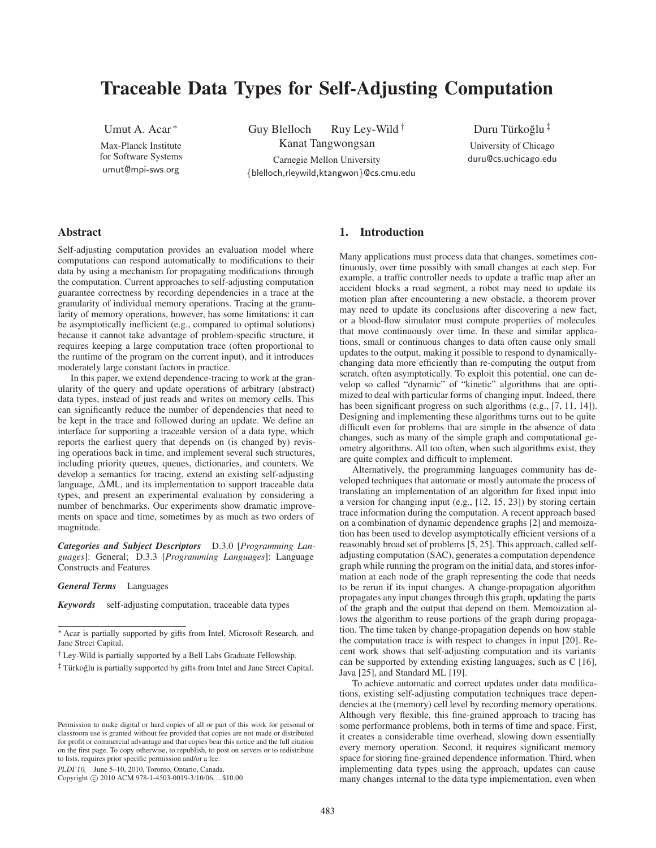# **Traceable Data Types for Self-Adjusting Computation**

Umut A. Acar ∗ Max-Planck Institute for Software Systems umut@mpi-sws.org

Guy Blelloch Ruy Ley-Wild  $^{\dagger}$ Kanat Tangwongsan

Carnegie Mellon University {blelloch,rleywild,ktangwon}@cs.cmu.edu

Duru Türkoğlu<sup>‡</sup> University of Chicago duru@cs.uchicago.edu

# **Abstract**

Self-adjusting computation provides an evaluation model where computations can respond automatically to modifications to their data by using a mechanism for propagating modifications through the computation. Current approaches to self-adjusting computation guarantee correctness by recording dependencies in a trace at the granularity of individual memory operations. Tracing at the granularity of memory operations, however, has some limitations: it can be asymptotically inefficient (e.g., compared to optimal solutions) because it cannot take advantage of problem-specific structure, it requires keeping a large computation trace (often proportional to the runtime of the program on the current input), and it introduces moderately large constant factors in practice.

In this paper, we extend dependence-tracing to work at the granularity of the query and update operations of arbitrary (abstract) data types, instead of just reads and writes on memory cells. This can significantly reduce the number of dependencies that need to be kept in the trace and followed during an update. We define an interface for supporting a traceable version of a data type, which reports the earliest query that depends on (is changed by) revising operations back in time, and implement several such structures, including priority queues, queues, dictionaries, and counters. We develop a semantics for tracing, extend an existing self-adjusting language, ΔML, and its implementation to support traceable data types, and present an experimental evaluation by considering a number of benchmarks. Our experiments show dramatic improvements on space and time, sometimes by as much as two orders of magnitude.

*Categories and Subject Descriptors* D.3.0 [*Programming Languages*]: General; D.3.3 [*Programming Languages*]: Language Constructs and Features

*General Terms* Languages

*Keywords* self-adjusting computation, traceable data types

PLDI'10, June 5–10, 2010, Toronto, Ontario, Canada.

Copyright © 2010 ACM 978-1-4503-0019-3/10/06...\$10.00

# **1. Introduction**

Many applications must process data that changes, sometimes continuously, over time possibly with small changes at each step. For example, a traffic controller needs to update a traffic map after an accident blocks a road segment, a robot may need to update its motion plan after encountering a new obstacle, a theorem prover may need to update its conclusions after discovering a new fact, or a blood-flow simulator must compute properties of molecules that move continuously over time. In these and similar applications, small or continuous changes to data often cause only small updates to the output, making it possible to respond to dynamicallychanging data more efficiently than re-computing the output from scratch, often asymptotically. To exploit this potential, one can develop so called "dynamic" of "kinetic" algorithms that are optimized to deal with particular forms of changing input. Indeed, there has been significant progress on such algorithms (e.g., [7, 11, 14]). Designing and implementing these algorithms turns out to be quite difficult even for problems that are simple in the absence of data changes, such as many of the simple graph and computational geometry algorithms. All too often, when such algorithms exist, they are quite complex and difficult to implement.

Alternatively, the programming languages community has developed techniques that automate or mostly automate the process of translating an implementation of an algorithm for fixed input into a version for changing input (e.g., [12, 15, 23]) by storing certain trace information during the computation. A recent approach based on a combination of dynamic dependence graphs [2] and memoization has been used to develop asymptotically efficient versions of a reasonably broad set of problems [5, 25]. This approach, called selfadjusting computation (SAC), generates a computation dependence graph while running the program on the initial data, and stores information at each node of the graph representing the code that needs to be rerun if its input changes. A change-propagation algorithm propagates any input changes through this graph, updating the parts of the graph and the output that depend on them. Memoization allows the algorithm to reuse portions of the graph during propagation. The time taken by change-propagation depends on how stable the computation trace is with respect to changes in input [20]. Recent work shows that self-adjusting computation and its variants can be supported by extending existing languages, such as C [16], Java [25], and Standard ML [19].

To achieve automatic and correct updates under data modifications, existing self-adjusting computation techniques trace dependencies at the (memory) cell level by recording memory operations. Although very flexible, this fine-grained approach to tracing has some performance problems, both in terms of time and space. First, it creates a considerable time overhead, slowing down essentially every memory operation. Second, it requires significant memory space for storing fine-grained dependence information. Third, when implementing data types using the approach, updates can cause many changes internal to the data type implementation, even when

<sup>∗</sup> Acar is partially supported by gifts from Intel, Microsoft Research, and Jane Street Capital.

<sup>†</sup> Ley-Wild is partially supported by a Bell Labs Graduate Fellowship.

 $\ddagger$  Türkoğlu is partially supported by gifts from Intel and Jane Street Capital.

Permission to make digital or hard copies of all or part of this work for personal or classroom use is granted without fee provided that copies are not made or distributed for profit or commercial advantage and that copies bear this notice and the full citation on the first page. To copy otherwise, to republish, to post on servers or to redistribute to lists, requires prior specific permission and/or a fee.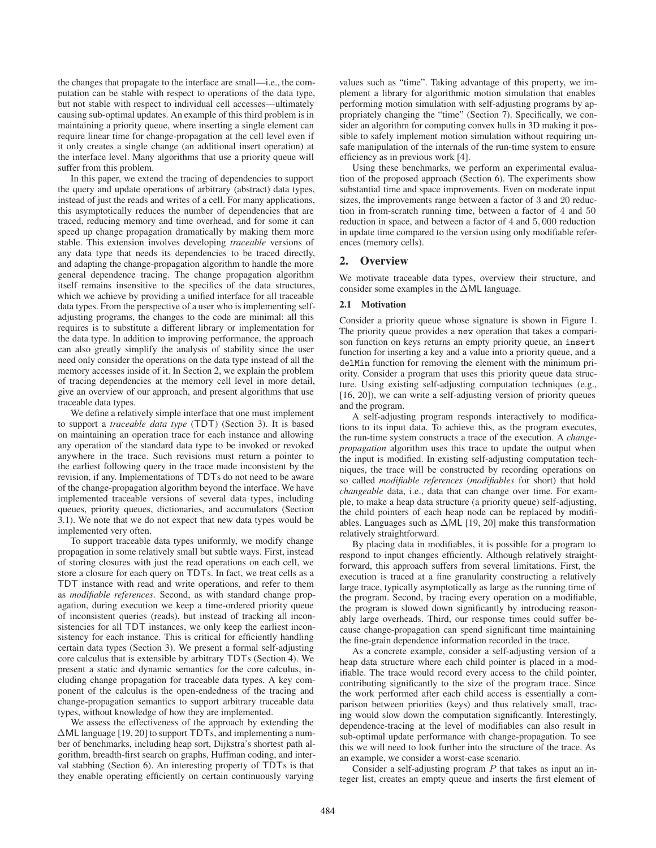the changes that propagate to the interface are small—i.e., the computation can be stable with respect to operations of the data type, but not stable with respect to individual cell accesses—ultimately causing sub-optimal updates. An example of this third problem is in maintaining a priority queue, where inserting a single element can require linear time for change-propagation at the cell level even if it only creates a single change (an additional insert operation) at the interface level. Many algorithms that use a priority queue will suffer from this problem.

In this paper, we extend the tracing of dependencies to support the query and update operations of arbitrary (abstract) data types, instead of just the reads and writes of a cell. For many applications, this asymptotically reduces the number of dependencies that are traced, reducing memory and time overhead, and for some it can speed up change propagation dramatically by making them more stable. This extension involves developing *traceable* versions of any data type that needs its dependencies to be traced directly, and adapting the change-propagation algorithm to handle the more general dependence tracing. The change propagation algorithm itself remains insensitive to the specifics of the data structures, which we achieve by providing a unified interface for all traceable data types. From the perspective of a user who is implementing selfadjusting programs, the changes to the code are minimal: all this requires is to substitute a different library or implementation for the data type. In addition to improving performance, the approach can also greatly simplify the analysis of stability since the user need only consider the operations on the data type instead of all the memory accesses inside of it. In Section 2, we explain the problem of tracing dependencies at the memory cell level in more detail, give an overview of our approach, and present algorithms that use traceable data types.

We define a relatively simple interface that one must implement to support a *traceable data type* (TDT) (Section 3). It is based on maintaining an operation trace for each instance and allowing any operation of the standard data type to be invoked or revoked anywhere in the trace. Such revisions must return a pointer to the earliest following query in the trace made inconsistent by the revision, if any. Implementations of TDTs do not need to be aware of the change-propagation algorithm beyond the interface. We have implemented traceable versions of several data types, including queues, priority queues, dictionaries, and accumulators (Section 3.1). We note that we do not expect that new data types would be implemented very often.

To support traceable data types uniformly, we modify change propagation in some relatively small but subtle ways. First, instead of storing closures with just the read operations on each cell, we store a closure for each query on TDTs. In fact, we treat cells as a TDT instance with read and write operations, and refer to them as *modifiable references*. Second, as with standard change propagation, during execution we keep a time-ordered priority queue of inconsistent queries (reads), but instead of tracking all inconsistencies for all TDT instances, we only keep the earliest inconsistency for each instance. This is critical for efficiently handling certain data types (Section 3). We present a formal self-adjusting core calculus that is extensible by arbitrary TDTs (Section 4). We present a static and dynamic semantics for the core calculus, including change propagation for traceable data types. A key component of the calculus is the open-endedness of the tracing and change-propagation semantics to support arbitrary traceable data types, without knowledge of how they are implemented.

We assess the effectiveness of the approach by extending the ΔML language [19, 20] to support TDTs, and implementing a number of benchmarks, including heap sort, Dijkstra's shortest path algorithm, breadth-first search on graphs, Huffman coding, and interval stabbing (Section 6). An interesting property of TDTs is that they enable operating efficiently on certain continuously varying

values such as "time". Taking advantage of this property, we implement a library for algorithmic motion simulation that enables performing motion simulation with self-adjusting programs by appropriately changing the "time" (Section 7). Specifically, we consider an algorithm for computing convex hulls in 3D making it possible to safely implement motion simulation without requiring unsafe manipulation of the internals of the run-time system to ensure efficiency as in previous work [4].

Using these benchmarks, we perform an experimental evaluation of the proposed approach (Section 6). The experiments show substantial time and space improvements. Even on moderate input sizes, the improvements range between a factor of 3 and 20 reduction in from-scratch running time, between a factor of 4 and 50 reduction in space, and between a factor of 4 and 5, 000 reduction in update time compared to the version using only modifiable references (memory cells).

# **2. Overview**

We motivate traceable data types, overview their structure, and consider some examples in the  $\Delta$ ML language.

## **2.1 Motivation**

Consider a priority queue whose signature is shown in Figure 1. The priority queue provides a new operation that takes a comparison function on keys returns an empty priority queue, an insert function for inserting a key and a value into a priority queue, and a delMin function for removing the element with the minimum priority. Consider a program that uses this priority queue data structure. Using existing self-adjusting computation techniques (e.g., [16, 20]), we can write a self-adjusting version of priority queues and the program.

A self-adjusting program responds interactively to modifications to its input data. To achieve this, as the program executes, the run-time system constructs a trace of the execution. A *changepropagation* algorithm uses this trace to update the output when the input is modified. In existing self-adjusting computation techniques, the trace will be constructed by recording operations on so called *modifiable references* (*modifiables* for short) that hold *changeable* data, i.e., data that can change over time. For example, to make a heap data structure (a priority queue) self-adjusting, the child pointers of each heap node can be replaced by modifiables. Languages such as  $\Delta$ ML [19, 20] make this transformation relatively straightforward.

By placing data in modifiables, it is possible for a program to respond to input changes efficiently. Although relatively straightforward, this approach suffers from several limitations. First, the execution is traced at a fine granularity constructing a relatively large trace, typically asymptotically as large as the running time of the program. Second, by tracing every operation on a modifiable, the program is slowed down significantly by introducing reasonably large overheads. Third, our response times could suffer because change-propagation can spend significant time maintaining the fine-grain dependence information recorded in the trace.

As a concrete example, consider a self-adjusting version of a heap data structure where each child pointer is placed in a modifiable. The trace would record every access to the child pointer, contributing significantly to the size of the program trace. Since the work performed after each child access is essentially a comparison between priorities (keys) and thus relatively small, tracing would slow down the computation significantly. Interestingly, dependence-tracing at the level of modifiables can also result in sub-optimal update performance with change-propagation. To see this we will need to look further into the structure of the trace. As an example, we consider a worst-case scenario.

Consider a self-adjusting program  $P$  that takes as input an integer list, creates an empty queue and inserts the first element of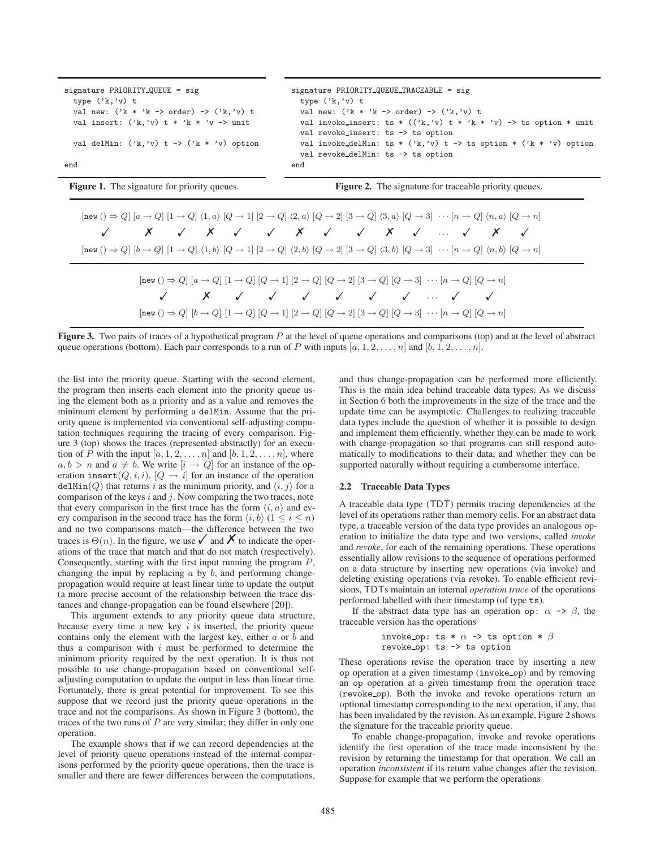| <b>Figure 1.</b> The signature for priority queues.                                              | <b>Figure 2.</b> The signature for traceable priority queues.                                                      |
|--------------------------------------------------------------------------------------------------|--------------------------------------------------------------------------------------------------------------------|
| end                                                                                              | end                                                                                                                |
|                                                                                                  | val revoke_delMin: ts -> ts option                                                                                 |
| val delMin: $('k, 'v)$ t -> $('k * 'v)$ option                                                   | val revoke_insert: $ts \rightarrow ts$ option<br>val invoke_delMin: ts * ('k,'v) t -> ts option * ('k * 'v) option |
| val insert: $('k,'v)$ t * 'k * 'v -> unit                                                        | val invoke_insert: ts * $(('k,'v)$ t * 'k * 'v) -> ts option * unit                                                |
| val new: $(\forall k * \forall k \rightarrow \text{order}) \rightarrow (\forall k, \forall v)$ t | val new: $(\forall k * \forall k \rightarrow \text{order}) \rightarrow (\forall k, \forall \forall k$              |
| type $('k,'v)$ t                                                                                 | type $('k,'v)$ t                                                                                                   |
| signature PRIORITY_QUEUE = $sig$                                                                 | $signature$ PRIORITY QUEUE TRACEABLE = $sig$                                                                       |
|                                                                                                  |                                                                                                                    |

| $[\text{new } (\text{)} \Rightarrow Q] [a \rightarrow Q] [1 \rightarrow Q] \langle 1, a \rangle [Q \rightarrow 1] [2 \rightarrow Q] \langle 2, a \rangle [Q \rightarrow 2] [3 \rightarrow Q] \langle 3, a \rangle [Q \rightarrow 3] \cdots [n \rightarrow Q] \langle n, a \rangle [Q \rightarrow n]$                                                                                                                                                                      |                               |  |  |                                                                                                                                                                                                           |  |  |  |  |
|---------------------------------------------------------------------------------------------------------------------------------------------------------------------------------------------------------------------------------------------------------------------------------------------------------------------------------------------------------------------------------------------------------------------------------------------------------------------------|-------------------------------|--|--|-----------------------------------------------------------------------------------------------------------------------------------------------------------------------------------------------------------|--|--|--|--|
|                                                                                                                                                                                                                                                                                                                                                                                                                                                                           | V X V X V V X V V X V … V X V |  |  |                                                                                                                                                                                                           |  |  |  |  |
| $\lbrack \mathbf{new} \rbrack$ $\Rightarrow$ Q $\lbrack \rbrack b \rightarrow Q \rbrack$ $\lbrack 1 \rightarrow Q \rbrack$ $\langle 1,b \rangle$ $\lbrack Q \rightarrow 1 \rbrack$ $\lbrack 2 \rightarrow Q \rbrack$ $\langle 2,b \rangle$ $\lbrack Q \rightarrow 2 \rbrack$ $\lbrack 3 \rightarrow Q \rbrack$ $\langle 3,b \rangle$ $\lbrack Q \rightarrow 3 \rbrack$ $\cdots$ $\lbrack n \rightarrow Q \rbrack$ $\langle n,b \rangle$ $\lbrack Q \rightarrow n \rbrack$ |                               |  |  |                                                                                                                                                                                                           |  |  |  |  |
|                                                                                                                                                                                                                                                                                                                                                                                                                                                                           |                               |  |  |                                                                                                                                                                                                           |  |  |  |  |
|                                                                                                                                                                                                                                                                                                                                                                                                                                                                           |                               |  |  | $[\text{new } () \Rightarrow Q] [a \rightarrow Q] [1 \rightarrow Q] [Q \rightarrow 1] [2 \rightarrow Q] [Q \rightarrow 2] [3 \rightarrow Q] [Q \rightarrow 3] \cdots [n \rightarrow Q] [Q \rightarrow n]$ |  |  |  |  |
|                                                                                                                                                                                                                                                                                                                                                                                                                                                                           |                               |  |  |                                                                                                                                                                                                           |  |  |  |  |
|                                                                                                                                                                                                                                                                                                                                                                                                                                                                           |                               |  |  | $\checkmark$ x $\checkmark$ y $\checkmark$ y $\checkmark$ y $\checkmark$ and $\checkmark$                                                                                                                 |  |  |  |  |

**Figure 3.** Two pairs of traces of a hypothetical program P at the level of queue operations and comparisons (top) and at the level of abstract queue operations (bottom). Each pair corresponds to a run of P with inputs  $[a, 1, 2, ..., n]$  and  $[b, 1, 2, ..., n]$ .

the list into the priority queue. Starting with the second element, the program then inserts each element into the priority queue using the element both as a priority and as a value and removes the minimum element by performing a delMin. Assume that the priority queue is implemented via conventional self-adjusting computation techniques requiring the tracing of every comparison. Figure 3 (top) shows the traces (represented abstractly) for an execution of P with the input  $[a, 1, 2, \ldots, n]$  and  $[b, 1, 2, \ldots, n]$ , where  $a, b > n$  and  $a \neq b$ . We write  $[i \rightarrow Q]$  for an instance of the operation insert $(Q, i, i)$ ,  $[Q \rightarrow i]$  for an instance of the operation delMin(Q) that returns i as the minimum priority, and  $\langle i, j \rangle$  for a comparison of the keys  $i$  and  $j$ . Now comparing the two traces, note that every comparison in the first trace has the form  $\langle i, a \rangle$  and every comparison in the second trace has the form  $\langle i, b \rangle$  ( $1 \le i \le n$ ) and no two comparisons match—the difference between the two traces is  $\Theta(n)$ . In the figure, we use  $\checkmark$  and  $\checkmark$  to indicate the operations of the trace that match and that do not match (respectively). Consequently, starting with the first input running the program P, changing the input by replacing  $a$  by  $b$ , and performing changepropagation would require at least linear time to update the output (a more precise account of the relationship between the trace distances and change-propagation can be found elsewhere [20]).

This argument extends to any priority queue data structure, because every time a new key  $i$  is inserted, the priority queue contains only the element with the largest key, either  $a$  or  $b$  and thus a comparison with  $i$  must be performed to determine the minimum priority required by the next operation. It is thus not possible to use change-propagation based on conventional selfadjusting computation to update the output in less than linear time. Fortunately, there is great potential for improvement. To see this suppose that we record just the priority queue operations in the trace and not the comparisons. As shown in Figure 3 (bottom), the traces of the two runs of  $P$  are very similar; they differ in only one operation.

The example shows that if we can record dependencies at the level of priority queue operations instead of the internal comparisons performed by the priority queue operations, then the trace is smaller and there are fewer differences between the computations, and thus change-propagation can be performed more efficiently. This is the main idea behind traceable data types. As we discuss in Section 6 both the improvements in the size of the trace and the update time can be asymptotic. Challenges to realizing traceable data types include the question of whether it is possible to design and implement them efficiently, whether they can be made to work with change-propagation so that programs can still respond automatically to modifications to their data, and whether they can be supported naturally without requiring a cumbersome interface.

## **2.2 Traceable Data Types**

A traceable data type (TDT) permits tracing dependencies at the level of its operations rather than memory cells. For an abstract data type, a traceable version of the data type provides an analogous operation to initialize the data type and two versions, called *invoke* and *revoke*, for each of the remaining operations. These operations essentially allow revisions to the sequence of operations performed on a data structure by inserting new operations (via invoke) and deleting existing operations (via revoke). To enable efficient revisions, TDTs maintain an internal *operation trace* of the operations performed labelled with their timestamp (of type ts).

If the abstract data type has an operation op:  $\alpha \rightarrow \beta$ , the traceable version has the operations

> invoke op: ts \*  $\alpha$  -> ts option \*  $\beta$ revoke op: ts -> ts option

These operations revise the operation trace by inserting a new op operation at a given timestamp (invoke op) and by removing an op operation at a given timestamp from the operation trace (revoke op). Both the invoke and revoke operations return an optional timestamp corresponding to the next operation, if any, that has been invalidated by the revision. As an example, Figure 2 shows the signature for the traceable priority queue.

To enable change-propagation, invoke and revoke operations identify the first operation of the trace made inconsistent by the revision by returning the timestamp for that operation. We call an operation *inconsistent* if its return value changes after the revision. Suppose for example that we perform the operations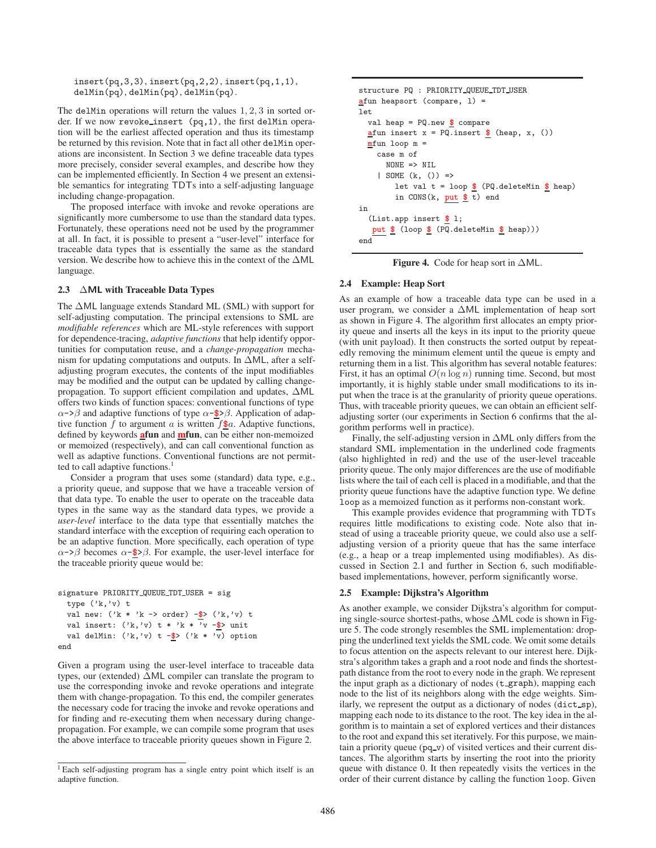$insert(pq,3,3), insert(pq,2,2), insert(pq,1,1),$ delMin(pq), delMin(pq), delMin(pq).

The delMin operations will return the values 1, 2, 3 in sorted order. If we now revoke\_insert (pq, 1), the first delMin operation will be the earliest affected operation and thus its timestamp be returned by this revision. Note that in fact all other delMin operations are inconsistent. In Section 3 we define traceable data types more precisely, consider several examples, and describe how they can be implemented efficiently. In Section 4 we present an extensible semantics for integrating TDTs into a self-adjusting language including change-propagation.

The proposed interface with invoke and revoke operations are significantly more cumbersome to use than the standard data types. Fortunately, these operations need not be used by the programmer at all. In fact, it is possible to present a "user-level" interface for traceable data types that is essentially the same as the standard version. We describe how to achieve this in the context of the ΔML language.

## **2.3** Δ**ML with Traceable Data Types**

The ΔML language extends Standard ML (SML) with support for self-adjusting computation. The principal extensions to SML are *modifiable references* which are ML-style references with support for dependence-tracing, *adaptive functions* that help identify opportunities for computation reuse, and a *change-propagation* mechanism for updating computations and outputs. In  $\Delta \text{ML}$ , after a selfadjusting program executes, the contents of the input modifiables may be modified and the output can be updated by calling changepropagation. To support efficient compilation and updates, ΔML offers two kinds of function spaces: conventional functions of type  $\alpha$ ->β and adaptive functions of type  $\alpha$ - $\frac{\$}{\alpha}$ β. Application of adaptive function f to argument a is written  $f$ \$a. Adaptive functions, defined by keywords **afun** and **mfun**, can be either non-memoized or memoized (respectively), and can call conventional function as well as adaptive functions. Conventional functions are not permitted to call adaptive functions.

Consider a program that uses some (standard) data type, e.g., a priority queue, and suppose that we have a traceable version of that data type. To enable the user to operate on the traceable data types in the same way as the standard data types, we provide a *user-level* interface to the data type that essentially matches the standard interface with the exception of requiring each operation to be an adaptive function. More specifically, each operation of type  $\alpha$ ->β becomes  $\alpha$ -\$>β. For example, the user-level interface for the traceable priority queue would be:

```
signature PRIORITY QUEUE TDT USER = sig
  type ('k,'v) t
 val new: ('k * 'k -> order) -()k, 'v) t
 val insert: ('k,'v) t * 'k * 'v -$> unit
 val delMin: ('k,'v) t -\* ('k' * 'v) option
end
```
Given a program using the user-level interface to traceable data types, our (extended) ΔML compiler can translate the program to use the corresponding invoke and revoke operations and integrate them with change-propagation. To this end, the compiler generates the necessary code for tracing the invoke and revoke operations and for finding and re-executing them when necessary during changepropagation. For example, we can compile some program that uses the above interface to traceable priority queues shown in Figure 2.

```
structure PQ : PRIORITY QUEUE TDT USER
afun heapsort (compare, 1) =
let
  val heap = PQ.new \n\Phi compare
  \underline{\text{af}}un insert x = PQ.insert $ (heap, x, ())
  mfun loop m =
    case m of
       NONE => NIL
    | SOME (k, ()) \Rightarrowlet val t = loop $ (PQ.deleteMin $ heap)
         in CONF(k, put \, $ t) end
in
  (List.app insert \frac{\$}{\$} 1;
   put $ (loop $ (PQ.deleteMin $ heap)))
end
```
**Figure 4.** Code for heap sort in ΔML.

#### **2.4 Example: Heap Sort**

As an example of how a traceable data type can be used in a user program, we consider a  $\Delta ML$  implementation of heap sort as shown in Figure 4. The algorithm first allocates an empty priority queue and inserts all the keys in its input to the priority queue (with unit payload). It then constructs the sorted output by repeatedly removing the minimum element until the queue is empty and returning them in a list. This algorithm has several notable features: First, it has an optimal  $O(n \log n)$  running time. Second, but most importantly, it is highly stable under small modifications to its input when the trace is at the granularity of priority queue operations. Thus, with traceable priority queues, we can obtain an efficient selfadjusting sorter (our experiments in Section 6 confirms that the algorithm performs well in practice).

Finally, the self-adjusting version in  $\Delta ML$  only differs from the standard SML implementation in the underlined code fragments (also highlighted in red) and the use of the user-level traceable priority queue. The only major differences are the use of modifiable lists where the tail of each cell is placed in a modifiable, and that the priority queue functions have the adaptive function type. We define loop as a memoized function as it performs non-constant work.

This example provides evidence that programming with TDTs requires little modifications to existing code. Note also that instead of using a traceable priority queue, we could also use a selfadjusting version of a priority queue that has the same interface (e.g., a heap or a treap implemented using modifiables). As discussed in Section 2.1 and further in Section 6, such modifiablebased implementations, however, perform significantly worse.

## **2.5 Example: Dijkstra's Algorithm**

As another example, we consider Dijkstra's algorithm for computing single-source shortest-paths, whose  $\Delta$ ML code is shown in Figure 5. The code strongly resembles the SML implementation: dropping the underlined text yields the SML code. We omit some details to focus attention on the aspects relevant to our interest here. Dijkstra's algorithm takes a graph and a root node and finds the shortestpath distance from the root to every node in the graph. We represent the input graph as a dictionary of nodes (t\_graph), mapping each node to the list of its neighbors along with the edge weights. Similarly, we represent the output as a dictionary of nodes (dict\_sp), mapping each node to its distance to the root. The key idea in the algorithm is to maintain a set of explored vertices and their distances to the root and expand this set iteratively. For this purpose, we maintain a priority queue (pq\_v) of visited vertices and their current distances. The algorithm starts by inserting the root into the priority queue with distance 0. It then repeatedly visits the vertices in the order of their current distance by calling the function loop. Given

<sup>1</sup> Each self-adjusting program has a single entry point which itself is an adaptive function.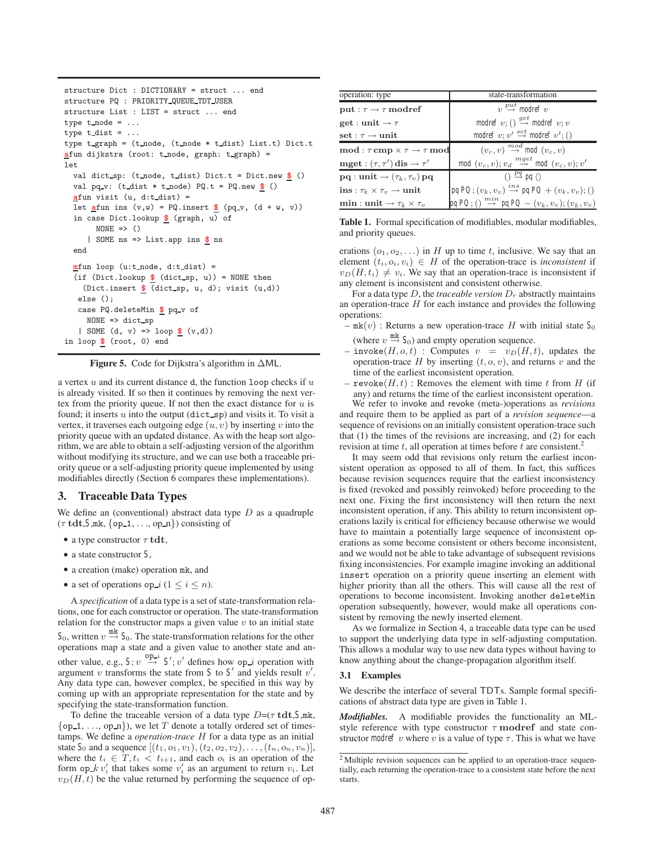```
structure Dict : DICTIONARY = struct ... end
structure PQ : PRIORITY QUEUE TDT USER
structure List : LIST = struct ... end
type t node = \dotstype t-dist = \dotstype t graph = (t node, (t node * t dist) List.t) Dict.t
afun dijkstra (root: t_node, graph: t_graph) =
let
  val dict sp: (t node, t dist) Dict.t = Dict.new $ ()
  val pq_v: (t_dist * t_node) PQ.t = PQ.new $ ()
  afun visit (u, d:t_dist) =let \underline{\text{a}}fun ins (v,w) = PQ.insert \underline{\$} (pq_v, (d + w, v))
  in case Dict.lookup \frac{1}{2} (graph, u) of
       NONE => ()| SOME ns => List.app ins $ ns
  end
  mfun loop (u:t_node, d:t_dist) =
  (if (Dict.lookup \underline{\$} (dict_sp, u)) = NONE then
    (Dict.insert \text{\$ } (dict_sp, u, d); visit (u,d))
   else ();
   case PQ.deleteMin $ pq_v of
     NONE => dict_sp
   | SOME (d, v) \implies loop \ (v, d)in loop $ (root, 0) end
```
**Figure 5.** Code for Dijkstra's algorithm in ΔML.

a vertex  $u$  and its current distance d, the function loop checks if  $u$ is already visited. If so then it continues by removing the next vertex from the priority queue. If not then the exact distance for  $u$  is found; it inserts  $u$  into the output (dict\_sp) and visits it. To visit a vertex, it traverses each outgoing edge  $(u, v)$  by inserting v into the priority queue with an updated distance. As with the heap sort algorithm, we are able to obtain a self-adjusting version of the algorithm without modifying its structure, and we can use both a traceable priority queue or a self-adjusting priority queue implemented by using modifiables directly (Section 6 compares these implementations).

# **3. Traceable Data Types**

We define an (conventional) abstract data type  $D$  as a quadruple (τ **tdt**,*S*,mk, {op 1, ..., op n}) consisting of

- a type constructor  $\tau$  **tdt**,
- a state constructor *S*,
- a creation (make) operation mk, and
- a set of operations op  $i$  (1  $\le i \le n$ ).

A *specification* of a data type is a set of state-transformation relations, one for each constructor or operation. The state-transformation relation for the constructor maps a given value  $v$  to an initial state  $S_0$ , written  $v \stackrel{\text{mk}}{\rightarrow} S_0$ . The state-transformation relations for the other operations map a state and a given value to another state and another value, e.g.,  $S$ ;  $v \stackrel{\text{op-}i}{\rightarrow} S'$ ;  $v'$  defines how op<sub>-</sub>*i* operation with argument v transforms the state from  $S$  to  $S'$  and yields result  $v'$ . Any data type can, however complex, be specified in this way by coming up with an appropriate representation for the state and by specifying the state-transformation function.

To define the traceable version of a data type  $D = (\tau \mathbf{tdt}, S, m\mathbf{k})$ ,  $\{\text{op}_1, \ldots, \text{op}_n\}\)$ , we let T denote a totally ordered set of timestamps. We define a *operation-trace* H for a data type as an initial state *S*<sup>0</sup> and a sequence  $[(t_1, o_1, v_1), (t_2, o_2, v_2), \ldots, (t_n, o_n, v_n)],$ where the  $t_i \in T$ ,  $t_i < t_{i+1}$ , and each  $o_i$  is an operation of the form op  $kv'_i$  that takes some  $v'_i$  as an argument to return  $v_i$ . Let  $v_D(H, t)$  be the value returned by performing the sequence of op-

| operation: type                                                      | state-transformation                                                       |
|----------------------------------------------------------------------|----------------------------------------------------------------------------|
| put : $\tau \rightarrow \tau$ modref                                 | $\overline{v} \stackrel{put}{\rightarrow} \overline{m}$ odref $v$          |
| $\text{get}: \text{unit} \rightarrow \tau$                           | modref v; () $\stackrel{get}{\rightarrow}$ modref v; v                     |
| $\text{set}: \tau \rightarrow \text{unit}$                           | modref v; $v' \stackrel{set}{\rightarrow}$ modref v'; ()                   |
| $\mathbf{mod} : \tau \mathbf{cmp} \times \tau \to \tau \mathbf{mod}$ | $(v_c, v) \stackrel{mod}{\rightarrow} \text{mod}(v_c, v)$                  |
| $mget : (\tau, \tau')$ dis $\rightarrow \tau'$                       | $\mod(v_c, v); v_d \stackrel{mget}{\rightarrow} \mod(v_c, v); v'$          |
| $pq: unit \rightarrow (\tau_k, \tau_v)$ pq                           | $() \stackrel{pq}{\rightarrow} pq \langle \rangle$                         |
| $ins: \tau_k \times \tau_v \to \text{unit}$                          | pq PQ; $(v_k, v_v) \stackrel{ins}{\rightarrow}$ pq PQ + $(v_k, v_v)$ ; ()  |
| $\textbf{min} : \textbf{unit} \rightarrow \tau_k \times \tau_v$      | pq PQ; () $\stackrel{min}{\rightarrow}$ pq PQ $ (v_k, v_v)$ ; $(v_k, v_v)$ |

**Table 1.** Formal specification of modifiables, modular modifiables, and priority queues.

erations  $(o_1, o_2, \ldots)$  in H up to time t, inclusive. We say that an element  $(t_i, o_i, v_i) \in H$  of the operation-trace is *inconsistent* if  $v_D(H, t_i) \neq v_i$ . We say that an operation-trace is inconsistent if any element is inconsistent and consistent otherwise.

For a data type  $D$ , the *traceable version*  $D<sub>r</sub>$  abstractly maintains an operation-trace  $H$  for each instance and provides the following operations:

- $-\mathsf{mk}(v)$ : Returns a new operation-trace H with initial state  $S_0$ (where  $v \stackrel{\text{mk}}{\rightarrow} S_0$ ) and empty operation sequence.
- invoke $(H, o, t)$ : Computes  $v = v_D(H, t)$ , updates the operation-trace H by inserting  $(t, o, v)$ , and returns v and the time of the earliest inconsistent operation.
- revoke $(H, t)$ : Removes the element with time t from H (if any) and returns the time of the earliest inconsistent operation.

We refer to invoke and revoke (meta-)operations as *revisions* and require them to be applied as part of a *revision sequence*—a sequence of revisions on an initially consistent operation-trace such that (1) the times of the revisions are increasing, and (2) for each revision at time t, all operation at times before t are consistent.<sup>2</sup>

It may seem odd that revisions only return the earliest inconsistent operation as opposed to all of them. In fact, this suffices because revision sequences require that the earliest inconsistency is fixed (revoked and possibly reinvoked) before proceeding to the next one. Fixing the first inconsistency will then return the next inconsistent operation, if any. This ability to return inconsistent operations lazily is critical for efficiency because otherwise we would have to maintain a potentially large sequence of inconsistent operations as some become consistent or others become inconsistent, and we would not be able to take advantage of subsequent revisions fixing inconsistencies. For example imagine invoking an additional insert operation on a priority queue inserting an element with higher priority than all the others. This will cause all the rest of operations to become inconsistent. Invoking another deleteMin operation subsequently, however, would make all operations consistent by removing the newly inserted element.

As we formalize in Section 4, a traceable data type can be used to support the underlying data type in self-adjusting computation. This allows a modular way to use new data types without having to know anything about the change-propagation algorithm itself.

## **3.1 Examples**

We describe the interface of several TDTs. Sample formal specifications of abstract data type are given in Table 1.

*Modifiables.* A modifiable provides the functionality an MLstyle reference with type constructor  $\tau$  **modref** and state constructor *modref* v where v is a value of type  $\tau$ . This is what we have

<sup>2</sup> Multiple revision sequences can be applied to an operation-trace sequentially, each returning the operation-trace to a consistent state before the next starts.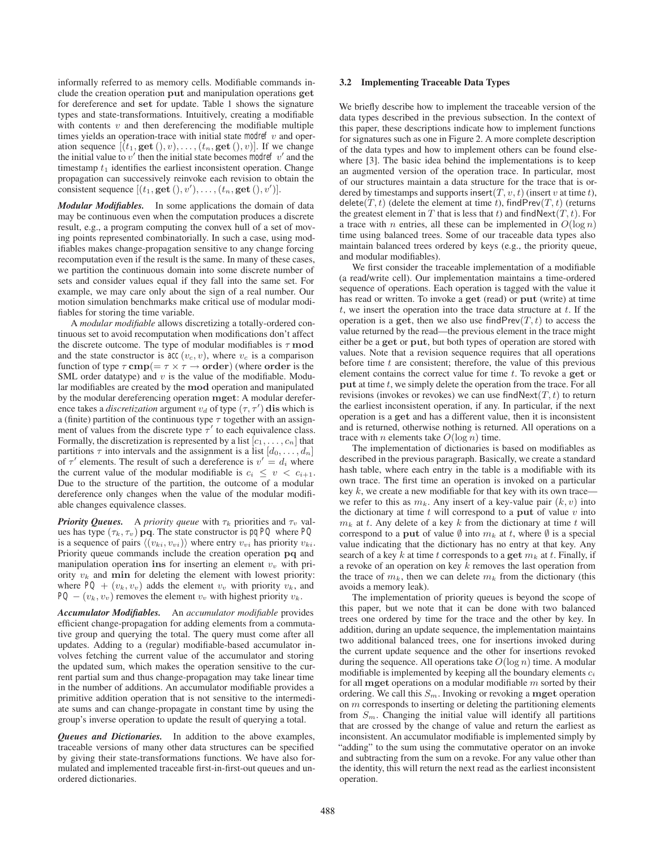informally referred to as memory cells. Modifiable commands include the creation operation **put** and manipulation operations **get** for dereference and **set** for update. Table 1 shows the signature types and state-transformations. Intuitively, creating a modifiable with contents  $v$  and then dereferencing the modifiable multiple times yields an operation-trace with initial state *modref* v and operation sequence  $[(t_1, \text{get}(0), v), \ldots, (t_n, \text{get}(0), v)]$ . If we change the initial value to  $v'$  then the initial state becomes *modref*  $v'$  and the timestamp  $t_1$  identifies the earliest inconsistent operation. Change propagation can successively reinvoke each revision to obtain the consistent sequence  $[(t_1, \text{get }(), v'), \dots, (t_n, \text{get }(), v')].$ 

*Modular Modifiables.* In some applications the domain of data may be continuous even when the computation produces a discrete result, e.g., a program computing the convex hull of a set of moving points represented combinatorially. In such a case, using modifiables makes change-propagation sensitive to any change forcing recomputation even if the result is the same. In many of these cases, we partition the continuous domain into some discrete number of sets and consider values equal if they fall into the same set. For example, we may care only about the sign of a real number. Our motion simulation benchmarks make critical use of modular modifiables for storing the time variable.

A *modular modifiable* allows discretizing a totally-ordered continuous set to avoid recomputation when modifications don't affect the discrete outcome. The type of modular modifiables is  $\tau$  mod and the state constructor is  $\textit{acc}(v_c, v)$ , where  $v_c$  is a comparison function of type  $\tau$  **cmp**( $=\tau \times \tau \rightarrow$  **order**) (where **order** is the SML order datatype) and  $v$  is the value of the modifiable. Modular modifiables are created by the **mod** operation and manipulated by the modular dereferencing operation **mget**: A modular dereference takes a *discretization* argument  $v_d$  of type  $(\tau, \tau')$  dis which is a (finite) partition of the continuous type  $\tau$  together with an assignment of values from the discrete type  $\tau'$  to each equivalence class. Formally, the discretization is represented by a list  $[c_1, \ldots, c_n]$  that partitions  $\tau$  into intervals and the assignment is a list  $[d_0, \ldots, d_n]$ of  $\tau'$  elements. The result of such a dereference is  $v' = d_i$  where the current value of the modular modifiable is  $c_i \leq v \leq c_{i+1}$ . Due to the structure of the partition, the outcome of a modular dereference only changes when the value of the modular modifiable changes equivalence classes.

*Priority Queues.* A *priority queue* with  $\tau_k$  priorities and  $\tau_v$  values has type  $(\tau_k, \tau_v)$  **pq**. The state constructor is *pq PQ* where *PQ* is a sequence of pairs  $\langle (v_{ki}, v_{vi}) \rangle$  where entry  $v_{vi}$  has priority  $v_{ki}$ . Priority queue commands include the creation operation **pq** and manipulation operation ins for inserting an element  $v<sub>v</sub>$  with priority  $v_k$  and **min** for deleting the element with lowest priority: where  $PQ + (v_k, v_v)$  adds the element  $v_v$  with priority  $v_k$ , and  $PQ - (v_k, v_v)$  removes the element  $v_v$  with highest priority  $v_k$ .

*Accumulator Modifiables.* An *accumulator modifiable* provides efficient change-propagation for adding elements from a commutative group and querying the total. The query must come after all updates. Adding to a (regular) modifiable-based accumulator involves fetching the current value of the accumulator and storing the updated sum, which makes the operation sensitive to the current partial sum and thus change-propagation may take linear time in the number of additions. An accumulator modifiable provides a primitive addition operation that is not sensitive to the intermediate sums and can change-propagate in constant time by using the group's inverse operation to update the result of querying a total.

*Queues and Dictionaries.* In addition to the above examples, traceable versions of many other data structures can be specified by giving their state-transformations functions. We have also formulated and implemented traceable first-in-first-out queues and unordered dictionaries.

# **3.2 Implementing Traceable Data Types**

We briefly describe how to implement the traceable version of the data types described in the previous subsection. In the context of this paper, these descriptions indicate how to implement functions for signatures such as one in Figure 2. A more complete description of the data types and how to implement others can be found elsewhere [3]. The basic idea behind the implementations is to keep an augmented version of the operation trace. In particular, most of our structures maintain a data structure for the trace that is ordered by timestamps and supports insert $(T, v, t)$  (insert v at time t), delete(T, t) (delete the element at time t), findPrev(T, t) (returns the greatest element in T that is less that t) and findNext $(T, t)$ . For a trace with *n* entries, all these can be implemented in  $O(\log n)$ time using balanced trees. Some of our traceable data types also maintain balanced trees ordered by keys (e.g., the priority queue, and modular modifiables).

We first consider the traceable implementation of a modifiable (a read/write cell). Our implementation maintains a time-ordered sequence of operations. Each operation is tagged with the value it has read or written. To invoke a **get** (read) or **put** (write) at time  $t$ , we insert the operation into the trace data structure at  $t$ . If the operation is a get, then we also use findPrev $(T, t)$  to access the value returned by the read—the previous element in the trace might either be a **get** or **put**, but both types of operation are stored with values. Note that a revision sequence requires that all operations before time  $t$  are consistent; therefore, the value of this previous element contains the correct value for time t. To revoke a **get** or **put** at time t, we simply delete the operation from the trace. For all revisions (invokes or revokes) we can use find  $Next(T, t)$  to return the earliest inconsistent operation, if any. In particular, if the next operation is a **get** and has a different value, then it is inconsistent and is returned, otherwise nothing is returned. All operations on a trace with *n* elements take  $O(\log n)$  time.

The implementation of dictionaries is based on modifiables as described in the previous paragraph. Basically, we create a standard hash table, where each entry in the table is a modifiable with its own trace. The first time an operation is invoked on a particular key  $k$ , we create a new modifiable for that key with its own trace we refer to this as  $m_k$ . Any insert of a key-value pair  $(k, v)$  into the dictionary at time  $t$  will correspond to a put of value  $v$  into  $m_k$  at t. Any delete of a key k from the dictionary at time t will correspond to a **put** of value  $\emptyset$  into  $m_k$  at t, where  $\emptyset$  is a special value indicating that the dictionary has no entry at that key. Any search of a key  $k$  at time  $t$  corresponds to a get  $m_k$  at  $t$ . Finally, if a revoke of an operation on key k removes the last operation from the trace of  $m_k$ , then we can delete  $m_k$  from the dictionary (this avoids a memory leak).

The implementation of priority queues is beyond the scope of this paper, but we note that it can be done with two balanced trees one ordered by time for the trace and the other by key. In addition, during an update sequence, the implementation maintains two additional balanced trees, one for insertions invoked during the current update sequence and the other for insertions revoked during the sequence. All operations take  $O(\log n)$  time. A modular modifiable is implemented by keeping all the boundary elements  $c_i$ for all **mget** operations on a modular modifiable m sorted by their ordering. We call this  $S_m$ . Invoking or revoking a **mget** operation on  $m$  corresponds to inserting or deleting the partitioning elements from  $S_m$ . Changing the initial value will identify all partitions that are crossed by the change of value and return the earliest as inconsistent. An accumulator modifiable is implemented simply by "adding" to the sum using the commutative operator on an invoke and subtracting from the sum on a revoke. For any value other than the identity, this will return the next read as the earliest inconsistent operation.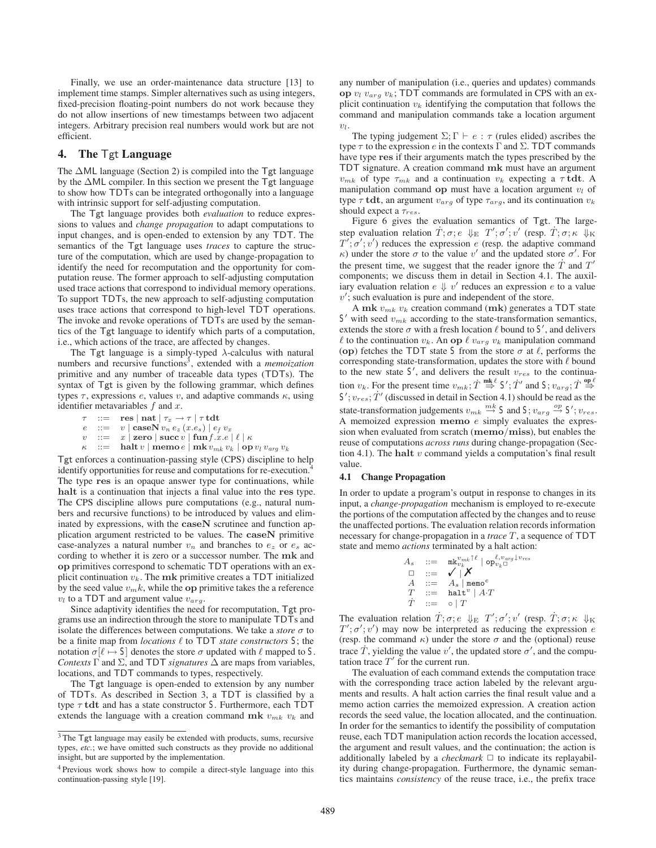Finally, we use an order-maintenance data structure [13] to implement time stamps. Simpler alternatives such as using integers, fixed-precision floating-point numbers do not work because they do not allow insertions of new timestamps between two adjacent integers. Arbitrary precision real numbers would work but are not efficient.

# **4. The** Tgt **Language**

The  $\Delta$ ML language (Section 2) is compiled into the Tgt language by the ΔML compiler. In this section we present the Tgt language to show how TDTs can be integrated orthogonally into a language with intrinsic support for self-adjusting computation.

The Tgt language provides both *evaluation* to reduce expressions to values and *change propagation* to adapt computations to input changes, and is open-ended to extension by any TDT. The semantics of the Tgt language uses *traces* to capture the structure of the computation, which are used by change-propagation to identify the need for recomputation and the opportunity for computation reuse. The former approach to self-adjusting computation used trace actions that correspond to individual memory operations. To support TDTs, the new approach to self-adjusting computation uses trace actions that correspond to high-level TDT operations. The invoke and revoke operations of TDTs are used by the semantics of the Tgt language to identify which parts of a computation, i.e., which actions of the trace, are affected by changes.

The Tgt language is a simply-typed  $\lambda$ -calculus with natural numbers and recursive functions<sup>3</sup>, extended with a *memoization* primitive and any number of traceable data types (TDTs). The syntax of Tgt is given by the following grammar, which defines types  $\tau$ , expressions e, values v, and adaptive commands  $\kappa$ , using identifier metavariables  $f$  and  $x$ .

 $\tau$  ::= **res** | **nat** |  $\tau_x \rightarrow \tau$  |  $\tau$  **tdt**<br> $e$  :=  $v \mid \textbf{caseN} \, v_x \, e_x \, (x.e.) \mid e_x$  $e$  ::=  $v \mid \textbf{caseN} \, v_n \, e_z \, (x.e_s) \mid e_f \, v_x$ <br>  $v$  ::=  $x \mid \textbf{zero} \mid \textbf{succ} \, v \mid \textbf{fun} \, f.x.e$  $x \mid \textbf{zero} \mid \textbf{succ} \, v \mid \textbf{fun} \, f.x.e \mid \ell \mid \kappa$  $\kappa$  ::= **halt** v | **memo** e | **mk**  $v_{mk}$   $v_k$  | **op**  $v_l$   $v_{arg}$   $v_k$ 

Tgt enforces a continuation-passing style (CPS) discipline to help identify opportunities for reuse and computations for re-execution.<sup>4</sup> The type **res** is an opaque answer type for continuations, while **halt** is a continuation that injects a final value into the **res** type. The CPS discipline allows pure computations (e.g., natural numbers and recursive functions) to be introduced by values and eliminated by expressions, with the **caseN** scrutinee and function application argument restricted to be values. The **caseN** primitive case-analyzes a natural number  $v_n$  and branches to  $e_z$  or  $e_s$  according to whether it is zero or a successor number. The **mk** and **op** primitives correspond to schematic TDT operations with an explicit continuation  $v_k$ . The  $mk$  primitive creates a TDT initialized by the seed value  $v_m k$ , while the **op** primitive takes the a reference  $v_l$  to a TDT and argument value  $v_{arg}$ .

Since adaptivity identifies the need for recomputation, Tgt programs use an indirection through the store to manipulate TDTs and isolate the differences between computations. We take a *store* σ to be a finite map from *locations*  $\ell$  to TDT *state constructors*  $S$ ; the notation  $\sigma[\ell \mapsto S]$  denotes the store  $\sigma$  updated with  $\ell$  mapped to *S*. *Contexts*  $\Gamma$  and  $\Sigma$ , and **TDT** *signatures*  $\Delta$  are maps from variables, locations, and TDT commands to types, respectively.

The Tgt language is open-ended to extension by any number of TDTs. As described in Section 3, a TDT is classified by a type τ **tdt** and has a state constructor *S*. Furthermore, each TDT extends the language with a creation command  $m\mathbf{k}$   $v_{mk}$   $v_k$  and any number of manipulation (i.e., queries and updates) commands **op**  $v_l$   $v_{arg}$   $v_k$ ; TDT commands are formulated in CPS with an explicit continuation  $v_k$  identifying the computation that follows the command and manipulation commands take a location argument  $v_l$ .

The typing judgement  $\Sigma$ ;  $\Gamma \vdash e : \tau$  (rules elided) ascribes the type  $\tau$  to the expression e in the contexts  $\Gamma$  and  $\Sigma$ . TDT commands have type **res** if their arguments match the types prescribed by the TDT signature. A creation command **mk** must have an argument  $v_{mk}$  of type  $\tau_{mk}$  and a continuation  $v_k$  expecting a  $\tau$  **tdt**. A manipulation command  $op$  must have a location argument  $v_l$  of type  $\tau$  **tdt**, an argument  $v_{arg}$  of type  $\tau_{arg}$ , and its continuation  $v_k$ should expect a  $\tau_{res}$ .

Figure 6 gives the evaluation semantics of Tgt. The largestep evaluation relation  $\dot{T}; \sigma; e \Downarrow_E T'; \sigma'; v'$  (resp.  $\dot{T}; \sigma; \kappa \Downarrow_K$  $T^{\prime}$ ; $\sigma^{\prime}$ ; $v^{\prime}$ ) reduces the expression e (resp. the adaptive command  $\kappa$ ) under the store  $\sigma$  to the value v' and the updated store  $\sigma'$ . For the present time, we suggest that the reader ignore the  $\dot{T}$  and  $T'$ components; we discuss them in detail in Section 4.1. The auxiliary evaluation relation  $e \Downarrow v'$  reduces an expression  $e$  to a value  $v'$ ; such evaluation is pure and independent of the store.

A mk  $v_{mk}$  v<sub>k</sub> creation command (mk) generates a TDT state  $S'$  with seed  $v_{mk}$  according to the state-transformation semantics, extends the store  $\sigma$  with a fresh location  $\ell$  bound to  $S'$ , and delivers  $\ell$  to the continuation  $v_k$ . An **op**  $\ell$   $v_{arg}$   $v_k$  manipulation command (**op**) fetches the TDT state *S* from the store  $\sigma$  at  $\ell$ , performs the corresponding state-transformation, updates the store with  $\ell$  bound to the new state  $S'$ , and delivers the result  $v_{res}$  to the continuation  $v_k$ . For the present time  $v_{mk}$ ;  $\dot{T} \stackrel{mk}{\Rightarrow} S'$ ;  $\dot{T}'$  and  $S$ ;  $v_{arg}$ ;  $\dot{T} \stackrel{op}{\Rightarrow}$  $S'$ ;  $v_{res}$ ;  $\dot{T}'$  (discussed in detail in Section 4.1) should be read as the state-transformation judgements  $v_{mk} \stackrel{mk}{\rightarrow} S$  and  $S$ ;  $v_{arg} \stackrel{op}{\rightarrow} S'$ ;  $v_{res}$ . A memoized expression **memo** e simply evaluates the expression when evaluated from scratch (**memo**/**miss**), but enables the reuse of computations *across runs* during change-propagation (Section 4.1). The **halt** v command yields a computation's final result value.

## **4.1 Change Propagation**

In order to update a program's output in response to changes in its input, a *change-propagation* mechanism is employed to re-execute the portions of the computation affected by the changes and to reuse the unaffected portions. The evaluation relation records information necessary for change-propagation in a *trace* T, a sequence of TDT state and memo *actions* terminated by a halt action:

$$
\begin{array}{ccl} A_s & ::= & \mathsf{mk}_{v_k}^{v_{mk} \uparrow \ell} \mid \mathsf{op}_{v_k}^{\ell, v_{arg} \downarrow v_{res}} \\ \Box & ::= & \bigwedge \mid \bigwedge \\ A & ::= & A_s \mid \mathsf{memo}^c \\ T & ::= & \mathsf{halt}^v \mid A \cdot T \\ \dot{T} & ::= & \circ \mid T \end{array}
$$

The evaluation relation  $\dot{T}; \sigma; e \Downarrow_E T'; \sigma'; v'$  (resp.  $\dot{T}; \sigma; \kappa \Downarrow_K$  $T'$ ;  $\sigma'$ ;  $v'$ ) may now be interpreted as reducing the expression e (resp. the command  $\kappa$ ) under the store  $\sigma$  and the (optional) reuse trace  $\dot{T}$ , yielding the value  $v'$ , the updated store  $\sigma'$ , and the computation trace  $T'$  for the current run.

The evaluation of each command extends the computation trace with the corresponding trace action labeled by the relevant arguments and results. A halt action carries the final result value and a memo action carries the memoized expression. A creation action records the seed value, the location allocated, and the continuation. In order for the semantics to identify the possibility of computation reuse, each TDT manipulation action records the location accessed, the argument and result values, and the continuation; the action is additionally labeled by a *checkmark*  $\Box$  to indicate its replayability during change-propagation. Furthermore, the dynamic semantics maintains *consistency* of the reuse trace, i.e., the prefix trace

<sup>3</sup> The Tgt language may easily be extended with products, sums, recursive types, *etc.*; we have omitted such constructs as they provide no additional insight, but are supported by the implementation.

<sup>4</sup> Previous work shows how to compile a direct-style language into this continuation-passing style [19].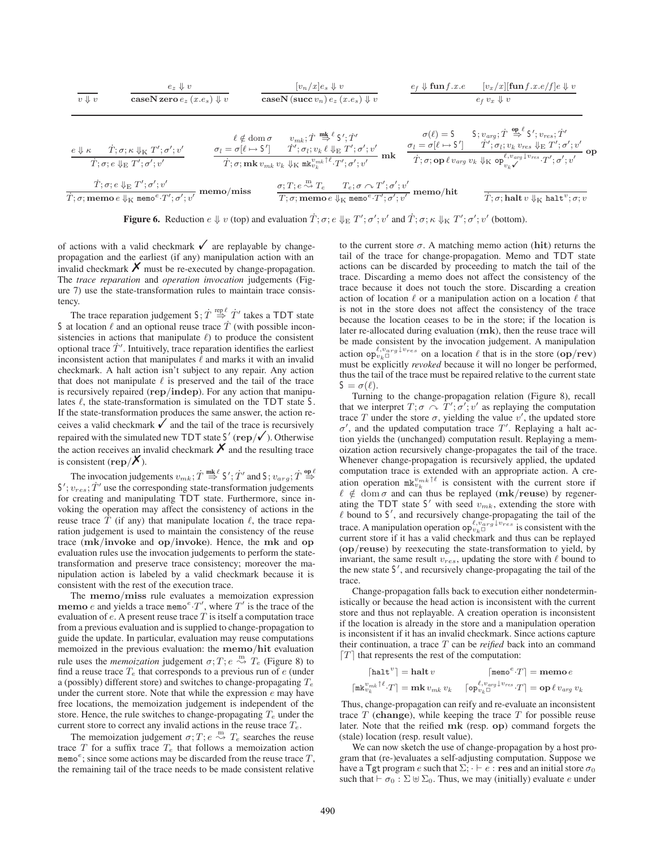$$
\frac{e_z \Downarrow v}{v \Downarrow v} \qquad \frac{e_z \Downarrow v}{\text{caseN \text{ zero}} \, e_z \, (x.e_s) \Downarrow v} \qquad \frac{[v_n/x] e_s \Downarrow v}{\text{caseN} \, (\text{succ } v_n) \, e_z \, (x.e_s) \Downarrow v} \qquad \frac{e_f \Downarrow \text{fun } f.x.e}{e_f \, v_x \Downarrow v} \qquad \frac{[v_x/x] [\text{fun } f.x.e]/f] e \Downarrow v}{e_f \, v_x \Downarrow v}
$$

$$
\frac{\ell \notin \text{dom }\sigma}{\dot{T}; \sigma; \epsilon \Downarrow_{\mathcal{K}} T'; \sigma'; \upsilon'} \qquad \frac{\ell \notin \text{dom }\sigma}{\dot{T}; \sigma; \epsilon \Downarrow_{\mathcal{K}} T'; \sigma'; \upsilon'} \qquad \frac{\sigma_l = \sigma[\ell \mapsto S']}{\dot{T}'; \sigma_l; v_k \ell \Downarrow_{\mathcal{K}} T'; \sigma'; \upsilon'} \qquad \frac{\sigma_l = \sigma[\ell \mapsto S']}{\dot{T}'; \sigma_l; v_k \ell \Downarrow_{\mathcal{K}} T'; \sigma'; \upsilon'} \qquad \frac{\sigma_l = \sigma[\ell \mapsto S']}{\dot{T}; \sigma; \mathbf{op} \ell v_{\text{avg}} v_k \psi_{\mathcal{K}} v_{\text{res}} \Downarrow_{\mathcal{K}} T'; \sigma'; \upsilon'} \qquad \frac{\sigma_l = \sigma[\ell \mapsto S']}{\dot{T}; \sigma; \mathbf{op} \ell v_{\text{avg}} v_k \psi_{\mathcal{K}} v_{\text{res}} \Downarrow_{\mathcal{K}} T'; \sigma'; \upsilon'} \qquad \frac{\sigma_l = \sigma[\ell \mapsto S']}{\dot{T}; \sigma; \mathbf{op} \ell v_{\text{avg}} v_k \psi_{\mathcal{K}} v_{\text{res}} \Downarrow_{\mathcal{K}} T'; \sigma'; \upsilon'} \qquad \frac{\sigma_l = \sigma[\ell \mapsto S']}{\dot{T}; \sigma; \mathbf{op} \ell v_{\text{avg}} v_k \psi_{\mathcal{K}} v_{\text{res}} \Downarrow_{\mathcal{K}} T'; \sigma'; \upsilon'} \qquad \frac{\sigma_l = \sigma[\ell \mapsto S']}{\dot{T}; \sigma; \mathbf{op} \ell v_{\text{avg}} v_k \psi_{\mathcal{K}} v_{\text{res}} \Downarrow_{\mathcal{K}} T'; \sigma'; \upsilon' \text{op} \ell v_{\text{avg}} v_k \Downarrow_{\mathcal{K}} \frac{\sigma_l = \sigma[\ell \mapsto S']}{\dot{T}; \sigma; \mathbf{hol} \ell v \psi_{\mathcal{K}} v_{\text{res}} \Downarrow_{\mathcal{K}} T'; \sigma'; \upsilon' \text{op} \ell v_{\text{avg}} v_k \Downarrow_{\mathcal{K}} \frac{\sigma_l = \sigma[\ell \mapsto S']}{\dot{T}; \sigma; \mathbf{pol} \ell v_{\text{avg}} v_k \Downarrow_{\mathcal{K}} v_{\text{res}} \Downarrow_{\mathcal
$$

**Figure 6.** Reduction  $e \Downarrow v$  (top) and evaluation  $\dot{T}$ ;  $\sigma$ ;  $e \Downarrow_E T'$ ;  $\sigma'$ ;  $v'$  and  $\dot{T}$ ;  $\sigma$ ;  $\kappa \Downarrow_K T'$ ;  $\sigma'$ ;  $v'$  (bottom).

of actions with a valid checkmark  $\checkmark$  are replayable by changepropagation and the earliest (if any) manipulation action with an invalid checkmark  $\lambda$  must be re-executed by change-propagation. The *trace reparation* and *operation invocation* judgements (Figure 7) use the state-transformation rules to maintain trace consistency.

The trace reparation judgement  $S; \dot{T} \stackrel{\text{rep } \ell}{\Rightarrow} \dot{T}'$  takes a TDT state *S* at location  $\ell$  and an optional reuse trace  $\dot{T}$  (with possible inconsistencies in actions that manipulate  $\ell$ ) to produce the consistent optional trace  $\dot{T}$ . Intuitively, trace reparation identifies the earliest inconsistent action that manipulates  $\ell$  and marks it with an invalid checkmark. A halt action isn't subject to any repair. Any action that does not manipulate  $\ell$  is preserved and the tail of the trace is recursively repaired (**rep**/**indep**). For any action that manipulates  $\ell$ , the state-transformation is simulated on the TDT state  $S$ . If the state-transformation produces the same answer, the action receives a valid checkmark  $\checkmark$  and the tail of the trace is recursively repaired with the simulated new TDT state  $S'$  (**rep**/ $\checkmark$ ). Otherwise the action receives an invalid checkmark  $\lambda$  and the resulting trace is consistent ( $\mathbf{rep}/\mathcal{X}$ ).

The invocation judgements  $v_{mk}$ ;  $\dot{T} \stackrel{\text{mk}\ell}{\Rightarrow} S'$ ;  $\dot{T}'$  and  $S$ ;  $v_{arg}$ ;  $\dot{T} \stackrel{\text{op.\ell}}{\Rightarrow}$  $S'$ ;  $v_{res}$ ;  $T'$  use the corresponding state-transformation judgements for creating and manipulating TDT state. Furthermore, since invoking the operation may affect the consistency of actions in the reuse trace T (if any) that manipulate location  $\ell$ , the trace reparation judgement is used to maintain the consistency of the reuse trace (**mk**/**invoke** and **op**/**invoke**). Hence, the **mk** and **op** evaluation rules use the invocation judgements to perform the statetransformation and preserve trace consistency; moreover the manipulation action is labeled by a valid checkmark because it is consistent with the rest of the execution trace.

The **memo**/**miss** rule evaluates a memoization expression **memo** e and yields a trace memo<sup>e</sup>  $T'$ , where  $T'$  is the trace of the evaluation of  $e$ . A present reuse trace  $T$  is itself a computation trace from a previous evaluation and is supplied to change-propagation to guide the update. In particular, evaluation may reuse computations memoized in the previous evaluation: the **memo**/**hit** evaluation rule uses the *memoization* judgement  $\sigma$ ;  $T$ ;  $e \stackrel{m}{\sim} T_e$  (Figure 8) to find a reuse trace  $T_e$  that corresponds to a previous run of  $e$  (under a (possibly) different store) and switches to change-propagating  $T_e$ under the current store. Note that while the expression  $e$  may have free locations, the memoization judgement is independent of the store. Hence, the rule switches to change-propagating  $T_e$  under the current store to correct any invalid actions in the reuse trace  $T_e$ .

The memoization judgement  $\sigma$ ;  $T$ ;  $e \stackrel{m}{\sim} T_e$  searches the reuse trace  $T$  for a suffix trace  $T_e$  that follows a memoization action memo<sup>e</sup>; since some actions may be discarded from the reuse trace  $T$ , the remaining tail of the trace needs to be made consistent relative to the current store  $\sigma$ . A matching memo action (hit) returns the tail of the trace for change-propagation. Memo and TDT state actions can be discarded by proceeding to match the tail of the trace. Discarding a memo does not affect the consistency of the trace because it does not touch the store. Discarding a creation action of location  $\ell$  or a manipulation action on a location  $\ell$  that is not in the store does not affect the consistency of the trace because the location ceases to be in the store; if the location is later re-allocated during evaluation (**mk**), then the reuse trace will be made consistent by the invocation judgement. A manipulation action  $\operatorname{op}_{v_k\sqcup\cdots\sqcup v_{\ell}}^{\ell,v_{arg}\downarrow v_{res}}$  on a location  $\ell$  that is in the store  $(\operatorname{op}/\operatorname{rev})$ <br>must be explicitly *revoked* because it will no longer be performed must be explicitly *revoked* because it will no longer be performed, thus the tail of the trace must be repaired relative to the current state  $S = \sigma(\ell)$ .

Turning to the change-propagation relation (Figure 8), recall that we interpret  $T; \sigma \sim T'; \sigma'; v'$  as replaying the computation trace T under the store  $\sigma$ , yielding the value v', the updated store  $\sigma'$ , and the updated computation trace T'. Replaying a halt action yields the (unchanged) computation result. Replaying a memoization action recursively change-propagates the tail of the trace. Whenever change-propagation is recursively applied, the updated computation trace is extended with an appropriate action. A creation operation  $\mathbf{m}\mathbf{k}_{v_k}^{v_m}\mathbf{k}^{\dagger\ell}$  is consistent with the current store if /∈ dom σ and can thus be replayed (**mk**/**reuse**) by regenerating the TDT state  $S'$  with seed  $v_{mk}$ , extending the store with  $\ell$  bound to  $S'$ , and recursively change-propagating the tail of the trace. A manipulation operation op $e_{\nu_k}^{\ell, \nu_{arg}} \downarrow \nu_{res}$  is consistent with the current store if it has a valid checkmark and thus can be replayed current store if it has a valid checkmark and thus can be replayed (**op**/**reuse**) by reexecuting the state-transformation to yield, by invariant, the same result  $v_{res}$ , updating the store with  $\ell$  bound to the new state *S* , and recursively change-propagating the tail of the trace.

Change-propagation falls back to execution either nondeterministically or because the head action is inconsistent with the current store and thus not replayable. A creation operation is inconsistent if the location is already in the store and a manipulation operation is inconsistent if it has an invalid checkmark. Since actions capture their continuation, a trace T can be *reified* back into an command  $[T]$  that represents the rest of the computation:

$$
\begin{aligned} \lceil \texttt{halt}^v \rceil & = \texttt{halt}\, v & \lceil \texttt{memo}^e \cdot T \rceil = \texttt{memo}\, e \\ \lceil \texttt{mk}^{v_{mk}\uparrow \ell} \cdot T \rceil & = \texttt{mk}\, v_{mk}\, \, v_k & \lceil \texttt{op}^{\ell, v_{arg}\downarrow v_{res}} \cdot T \rceil = \texttt{op}\, \ell\, v_{arg}\, v_k \end{aligned}
$$

Thus, change-propagation can reify and re-evaluate an inconsistent trace T (**change**), while keeping the trace T for possible reuse later. Note that the reified **mk** (resp. **op**) command forgets the (stale) location (resp. result value).

We can now sketch the use of change-propagation by a host program that (re-)evaluates a self-adjusting computation. Suppose we have a Tgt program e such that  $\Sigma$ ;  $\cdot \vdash e$  : **res** and an initial store  $\sigma_0$ such that  $\vdash \sigma_0 : \Sigma \uplus \Sigma_0$ . Thus, we may (initially) evaluate e under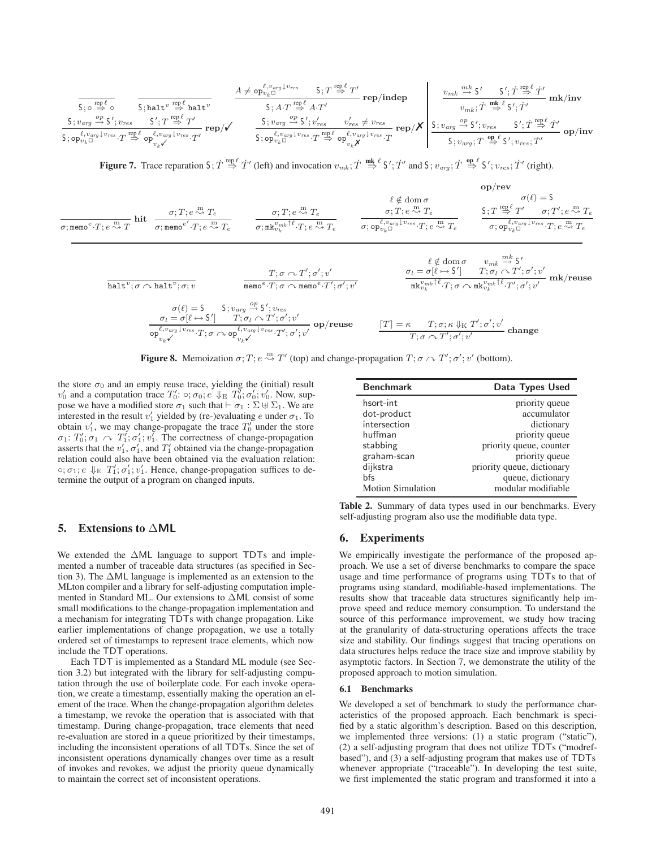$$
\begin{array}{c|c|c|c|c|c} & A \neq \text{op}_{\nu_{k} \square}^{\ell, v_{arg} \downarrow v_{res}} & S; T \stackrel{\text{rep} \ell}{\Rightarrow} T' & \text{rep/index} \\ \hline S; v_{arg} \stackrel{\text{op} \ell}{\rightarrow} S'; v_{res} & S'; T \stackrel{\text{rep} \ell}{\Rightarrow} T' & \text{rep}/\ell & S; v_{arg} \stackrel{\text{rep} \ell}{\rightarrow} S'; v_{res}' & \text{rep}/\ell & \text{rep....} \\ S; v_{arg} \stackrel{\text{op} \ell}{\rightarrow} S'; v_{res} & S'; T \stackrel{\text{rep} \ell}{\Rightarrow} T' & \text{rep}/\ell & S; v_{arg} \stackrel{\text{op} \ell}{\rightarrow} S'; v_{res}' & v_{res}' \neq v_{res} & \text{rep}/\ell & S; v_{arg} \stackrel{\text{op} \ell}{\rightarrow} S'; v_{res} & S'; T \stackrel{\text{rep} \ell}{\Rightarrow} T' & \text{rep....} \\ S; \text{op}_{\nu_{k} \square}^{\ell, v_{arg} \downarrow v_{res}} \cdot T \stackrel{\text{rep} \ell}{\Rightarrow} \text{op}_{\nu_{k} \backslash v_{k} \square}^{\ell, v_{arg} \downarrow v_{res}} & S; v_{res}' \neq v_{res} & \text{rep}/\ell & S; v_{arg} \stackrel{\text{op} \ell}{\rightarrow} S'; v_{res} & S'; T \stackrel{\text{rep} \ell}{\Rightarrow} T' & \text{op}/\ell & \text{op}/\ell & \text{op}/\ell & \text{op}/\ell & \text{op}/\ell & \text{op}/\ell & \text{op}/\ell & \text{op}/\ell & \text{op}/\ell & \text{op}/\ell & \text{op}/\ell & \text{op}/\ell & \text{op}/\ell & \text{op}/\ell & \text{op}/\ell & \text{op}/\ell & \text{op}/\ell & \text{op}/\ell & \text{op}/\ell & \text{op}/\ell & \text{op}/\ell & \text{op}/\ell & \text{op}/\ell & \text{op}/\ell & \text{op}/\ell & \text{op}/\ell & \text{op}/\ell & \text{op}/\ell & \text{op}/\ell & \text{op}/\ell & \text{op}/\ell & \text{op}/\ell & \text{op}/\ell & \text{op}/\ell & \text
$$

**Figure 7.** Trace reparation  $S; \dot{T} \overset{\text{rep.}\ell}{\Rightarrow} \dot{T}'$  (left) and invocation  $v_{mk}; \dot{T} \overset{\text{mk}}{\Rightarrow} \ell S'; \dot{T}'$  and  $S; v_{arg}; \dot{T} \overset{\text{op.}\ell}{\Rightarrow} S'; v_{res}; \dot{T}'$  (right).

<sup>σ</sup>; memoe·T; <sup>e</sup> <sup>m</sup> ❀ T **hit** <sup>σ</sup>; <sup>T</sup>; <sup>e</sup> <sup>m</sup> ❀ T*e* σ; memoe-·T; <sup>e</sup> <sup>m</sup> ❀ T*e* σ; T; e <sup>m</sup> ❀ T*e* σ; mkv*mk* <sup>↑</sup><sup>v</sup>*<sup>k</sup>* ·T; <sup>e</sup> <sup>m</sup> ❀ T*e* /<sup>∈</sup> dom <sup>σ</sup> σ; T; e <sup>m</sup> ❀ T*e* σ; op -,v*arg*↓v*res* <sup>v</sup>*<sup>k</sup>* ✷ ·T; <sup>e</sup> <sup>m</sup> ❀ T*e* σ() = *S <sup>S</sup>*; <sup>T</sup> rep -<sup>⇒</sup> <sup>T</sup> <sup>σ</sup>; <sup>T</sup> ; e <sup>m</sup> ❀ T*e* σ; op -,v*arg*↓v*res* <sup>v</sup>*<sup>k</sup>* ✷ ·T; <sup>e</sup> <sup>m</sup> ❀ T*e*

$$
\begin{array}{llll}\n & \ell \notin \mathrm{dom} \, \sigma & v_{mk} \stackrel{mk}{\longrightarrow} S' \\
\hline\n\text{halt}^v; \sigma \curvearrowright \text{halt}^v; \sigma; v & \sigma_l = \sigma[\ell \mapsto S'] & T; \sigma_l \curvearrowright T'; \sigma'; v' \\
\sigma(\ell) = S & S; v_{arg} \stackrel{op}{\longrightarrow} S'; v_{res} \\
\sigma(l) = S & S; v_{arg} \stackrel{op}{\longrightarrow} S'; v_{res} \\
\sigma_l = \sigma[\ell \mapsto S'] & T; \sigma_l \curvearrowright T'; \sigma'; v' \\
\sigma_l = \sigma[\ell \mapsto S'] & T; \sigma_l \curvearrowright T'; \sigma'; v' \\
\sigma_{p_{v_k}^{e, v_{arg} \downarrow v_{res}} \cdot T; \sigma \curvearrowright \sigma_{v_k}^{e, v_{arg} \downarrow v_{res}} \cdot T'; \sigma'; v' \\
\sigma_{p_{v_k}^{e, v_{arg} \downarrow v_{res}} \cdot T; \sigma \curvearrowright \sigma_{v_k}^{e, v_{arg} \downarrow v_{res}} \cdot T'; \sigma'; v' \\
\end{array}
$$

**Figure 8.** Memoization  $\sigma$ ;  $T$ ;  $e \stackrel{m}{\leadsto} T'$  (top) and change-propagation  $T$ ;  $\sigma \sim T'$ ;  $\sigma'$ ;  $v'$  (bottom).

the store  $\sigma_0$  and an empty reuse trace, yielding the (initial) result  $v'_0$  and a computation trace  $T'_0$ :  $\circ$ ;  $\sigma_0$ ;  $e \Downarrow_E T'_0$ ;  $\sigma'_0$ ;  $v'_0$ . Now, suppose we have a modified store  $\sigma_1$  such that  $\vdash \sigma_1 : \Sigma \cup \Sigma_1$ . We are interested in the result  $v'_1$  yielded by (re-)evaluating e under  $\sigma_1$ . To obtain  $v'_1$ , we may change-propagate the trace  $T'_0$  under the store  $\sigma_1$ :  $T'_0$ ;  $\sigma_1 \sim T'_1$ ;  $\sigma'_1$ ;  $v'_1$ . The correctness of change-propagation asserts that the  $v'_1$ ,  $\sigma'_1$ , and  $T'_1$  obtained via the change-propagation relation could also have been obtained via the evaluation relation:  $\circ$ ;  $\sigma_1$ ;  $e \Downarrow_E T'_1$ ;  $\sigma'_1$ ;  $v'_1$ . Hence, change-propagation suffices to determine the output of a program on changed inputs.

# **5. Extensions to** Δ**ML**

We extended the  $\Delta ML$  language to support TDTs and implemented a number of traceable data structures (as specified in Section 3). The  $\Delta$ ML language is implemented as an extension to the MLton compiler and a library for self-adjusting computation implemented in Standard ML. Our extensions to  $\Delta ML$  consist of some small modifications to the change-propagation implementation and a mechanism for integrating TDTs with change propagation. Like earlier implementations of change propagation, we use a totally ordered set of timestamps to represent trace elements, which now include the TDT operations.

Each TDT is implemented as a Standard ML module (see Section 3.2) but integrated with the library for self-adjusting computation through the use of boilerplate code. For each invoke operation, we create a timestamp, essentially making the operation an element of the trace. When the change-propagation algorithm deletes a timestamp, we revoke the operation that is associated with that timestamp. During change-propagation, trace elements that need re-evaluation are stored in a queue prioritized by their timestamps, including the inconsistent operations of all TDTs. Since the set of inconsistent operations dynamically changes over time as a result of invokes and revokes, we adjust the priority queue dynamically to maintain the correct set of inconsistent operations.

| <b>Benchmark</b>         | Data Types Used            |
|--------------------------|----------------------------|
| hsort-int                | priority queue             |
| dot-product              | accumulator                |
| intersection             | dictionary                 |
| huffman                  | priority queue             |
| stabbing                 | priority queue, counter    |
| graham-scan              | priority queue             |
| dijkstra                 | priority queue, dictionary |
| bfs                      | queue, dictionary          |
| <b>Motion Simulation</b> | modular modifiable         |

**op**/**rev**

**Table 2.** Summary of data types used in our benchmarks. Every self-adjusting program also use the modifiable data type.

# **6. Experiments**

We empirically investigate the performance of the proposed approach. We use a set of diverse benchmarks to compare the space usage and time performance of programs using TDTs to that of programs using standard, modifiable-based implementations. The results show that traceable data structures significantly help improve speed and reduce memory consumption. To understand the source of this performance improvement, we study how tracing at the granularity of data-structuring operations affects the trace size and stability. Our findings suggest that tracing operations on data structures helps reduce the trace size and improve stability by asymptotic factors. In Section 7, we demonstrate the utility of the proposed approach to motion simulation.

## **6.1 Benchmarks**

We developed a set of benchmark to study the performance characteristics of the proposed approach. Each benchmark is specified by a static algorithm's description. Based on this description, we implemented three versions: (1) a static program ("static"), (2) a self-adjusting program that does not utilize TDTs ("modrefbased"), and (3) a self-adjusting program that makes use of TDTs whenever appropriate ("traceable"). In developing the test suite, we first implemented the static program and transformed it into a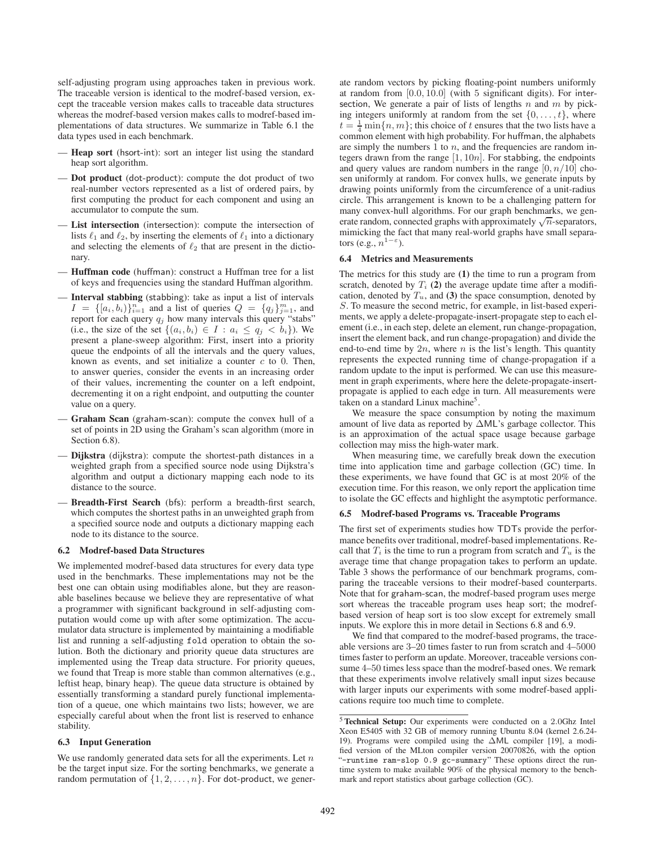self-adjusting program using approaches taken in previous work. The traceable version is identical to the modref-based version, except the traceable version makes calls to traceable data structures whereas the modref-based version makes calls to modref-based implementations of data structures. We summarize in Table 6.1 the data types used in each benchmark.

- **Heap sort** (hsort-int): sort an integer list using the standard heap sort algorithm.
- **Dot product** (dot-product): compute the dot product of two real-number vectors represented as a list of ordered pairs, by first computing the product for each component and using an accumulator to compute the sum.
- List intersection (intersection): compute the intersection of lists  $\ell_1$  and  $\ell_2$ , by inserting the elements of  $\ell_1$  into a dictionary and selecting the elements of  $\ell_2$  that are present in the dictionary.
- **Huffman code** (huffman): construct a Huffman tree for a list of keys and frequencies using the standard Huffman algorithm.
- **Interval stabbing** (stabbing): take as input a list of intervals  $I = \{ [a_i, b_i) \}_{i=1}^n$  and a list of queries  $Q = \{q_j\}_{j=1}^m$ , and report for each query  $q_j$  how many intervals this query "stabs" (i.e., the size of the set  $\{(a_i, b_i) \in I : a_i \le q_j < b_i\}$ ). We present a plane-sweep algorithm: First, insert into a priority queue the endpoints of all the intervals and the query values, known as events, and set initialize a counter  $c$  to 0. Then, to answer queries, consider the events in an increasing order of their values, incrementing the counter on a left endpoint, decrementing it on a right endpoint, and outputting the counter value on a query.
- **Graham Scan** (graham-scan): compute the convex hull of a set of points in 2D using the Graham's scan algorithm (more in Section 6.8).
- **Dijkstra** (dijkstra): compute the shortest-path distances in a weighted graph from a specified source node using Dijkstra's algorithm and output a dictionary mapping each node to its distance to the source.
- **Breadth-First Search** (bfs): perform a breadth-first search, which computes the shortest paths in an unweighted graph from a specified source node and outputs a dictionary mapping each node to its distance to the source.

### **6.2 Modref-based Data Structures**

We implemented modref-based data structures for every data type used in the benchmarks. These implementations may not be the best one can obtain using modifiables alone, but they are reasonable baselines because we believe they are representative of what a programmer with significant background in self-adjusting computation would come up with after some optimization. The accumulator data structure is implemented by maintaining a modifiable list and running a self-adjusting fold operation to obtain the solution. Both the dictionary and priority queue data structures are implemented using the Treap data structure. For priority queues, we found that Treap is more stable than common alternatives (e.g., leftist heap, binary heap). The queue data structure is obtained by essentially transforming a standard purely functional implementation of a queue, one which maintains two lists; however, we are especially careful about when the front list is reserved to enhance stability.

#### **6.3 Input Generation**

We use randomly generated data sets for all the experiments. Let  $n$ be the target input size. For the sorting benchmarks, we generate a random permutation of  $\{1, 2, \ldots, n\}$ . For dot-product, we generate random vectors by picking floating-point numbers uniformly at random from [0.0, 10.0] (with 5 significant digits). For intersection, We generate a pair of lists of lengths  $n$  and  $m$  by picking integers uniformly at random from the set  $\{0,\ldots,t\}$ , where  $t = \frac{1}{4} \min\{n, m\}$ ; this choice of t ensures that the two lists have a common element with high probability. For huffman, the alphabets are simply the numbers  $1$  to  $n$ , and the frequencies are random integers drawn from the range  $[1, 10n]$ . For stabbing, the endpoints and query values are random numbers in the range  $[0, n/10]$  chosen uniformly at random. For convex hulls, we generate inputs by drawing points uniformly from the circumference of a unit-radius circle. This arrangement is known to be a challenging pattern for many convex-hull algorithms. For our graph benchmarks, we generate random, connected graphs with approximately  $\sqrt{n}$ -separators, mimicking the fact that many real-world graphs have small separators (e.g.,  $n^{1-\epsilon}$ ).

#### **6.4 Metrics and Measurements**

The metrics for this study are **(1)** the time to run a program from scratch, denoted by  $T_i$  (2) the average update time after a modification, denoted by  $T_u$ , and **(3)** the space consumption, denoted by S. To measure the second metric, for example, in list-based experiments, we apply a delete-propagate-insert-propagate step to each element (i.e., in each step, delete an element, run change-propagation, insert the element back, and run change-propagation) and divide the end-to-end time by  $2n$ , where n is the list's length. This quantity represents the expected running time of change-propagation if a random update to the input is performed. We can use this measurement in graph experiments, where here the delete-propagate-insertpropagate is applied to each edge in turn. All measurements were taken on a standard Linux machine<sup>5</sup>.

We measure the space consumption by noting the maximum amount of live data as reported by ΔML's garbage collector. This is an approximation of the actual space usage because garbage collection may miss the high-water mark.

When measuring time, we carefully break down the execution time into application time and garbage collection (GC) time. In these experiments, we have found that GC is at most 20% of the execution time. For this reason, we only report the application time to isolate the GC effects and highlight the asymptotic performance.

## **6.5 Modref-based Programs vs. Traceable Programs**

The first set of experiments studies how TDTs provide the performance benefits over traditional, modref-based implementations. Recall that  $T_i$  is the time to run a program from scratch and  $T_u$  is the average time that change propagation takes to perform an update. Table 3 shows the performance of our benchmark programs, comparing the traceable versions to their modref-based counterparts. Note that for graham-scan, the modref-based program uses merge sort whereas the traceable program uses heap sort; the modrefbased version of heap sort is too slow except for extremely small inputs. We explore this in more detail in Sections 6.8 and 6.9.

We find that compared to the modref-based programs, the traceable versions are 3–20 times faster to run from scratch and 4–5000 times faster to perform an update. Moreover, traceable versions consume 4–50 times less space than the modref-based ones. We remark that these experiments involve relatively small input sizes because with larger inputs our experiments with some modref-based applications require too much time to complete.

<sup>5</sup> **Technical Setup:** Our experiments were conducted on a 2.0Ghz Intel Xeon E5405 with 32 GB of memory running Ubuntu 8.04 (kernel 2.6.24- 19). Programs were compiled using the  $\Delta$ ML compiler [19], a modified version of the MLton compiler version 20070826, with the option "-runtime ram-slop 0.9 gc-summary" These options direct the runtime system to make available 90% of the physical memory to the benchmark and report statistics about garbage collection (GC).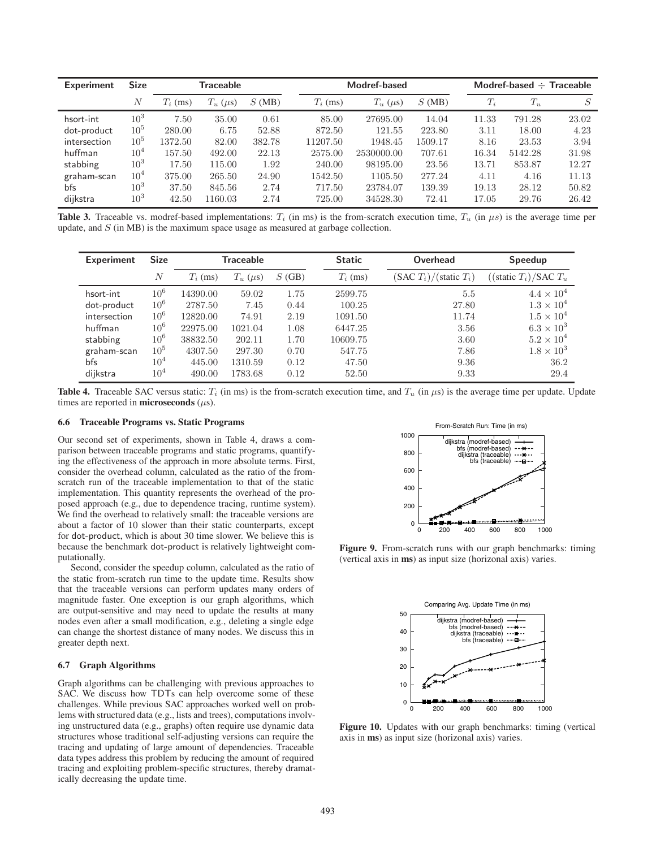| <b>Experiment</b> | <b>Size</b>     | <b>Traceable</b> |                  |        |            | Modref-based |         | Modref-based $\div$ Traceable |         |       |  |
|-------------------|-----------------|------------------|------------------|--------|------------|--------------|---------|-------------------------------|---------|-------|--|
|                   | N               | $T_i$ (ms)       | $T_u$ ( $\mu$ s) | S(MB)  | $T_i$ (ms) | $T_u(\mu s)$ | S(MB)   | $T_i$                         | $T_u$   | S     |  |
| hsort-int         | $10^{3}$        | 7.50             | 35.00            | 0.61   | 85.00      | 27695.00     | 14.04   | 11.33                         | 791.28  | 23.02 |  |
| dot-product       | 10 <sup>5</sup> | 280.00           | 6.75             | 52.88  | 872.50     | 121.55       | 223.80  | 3.11                          | 18.00   | 4.23  |  |
| intersection      | 10 <sup>5</sup> | 1372.50          | 82.00            | 382.78 | 11207.50   | 1948.45      | 1509.17 | 8.16                          | 23.53   | 3.94  |  |
| huffman           | $10^{4}$        | 157.50           | 492.00           | 22.13  | 2575.00    | 2530000.00   | 707.61  | 16.34                         | 5142.28 | 31.98 |  |
| stabbing          | $10^3$          | 17.50            | 115.00           | 1.92   | 240.00     | 98195.00     | 23.56   | 13.71                         | 853.87  | 12.27 |  |
| graham-scan       | $10^{4}$        | 375.00           | 265.50           | 24.90  | 1542.50    | 1105.50      | 277.24  | 4.11                          | 4.16    | 11.13 |  |
| bfs               | $10^{3}$        | 37.50            | 845.56           | 2.74   | 717.50     | 23784.07     | 139.39  | 19.13                         | 28.12   | 50.82 |  |
| dijkstra          | 10 <sup>3</sup> | 42.50            | 1160.03          | 2.74   | 725.00     | 34528.30     | 72.41   | 17.05                         | 29.76   | 26.42 |  |

**Table 3.** Traceable vs. modref-based implementations:  $T_i$  (in ms) is the from-scratch execution time,  $T_u$  (in  $\mu s$ ) is the average time per update, and  $S$  (in MB) is the maximum space usage as measured at garbage collection.

| <b>Experiment</b> | <b>Size</b>     |            | Traceable    |       | <b>Static</b> | Overhead                 | <b>Speedup</b>            |  |  |
|-------------------|-----------------|------------|--------------|-------|---------------|--------------------------|---------------------------|--|--|
|                   | N               | $T_i$ (ms) | $T_u(\mu s)$ | S(GB) | $T_i$ (ms)    | $(SAC T_i)/(static T_i)$ | (static $T_i$ )/SAC $T_u$ |  |  |
| hsort-int         | $10^{6}$        | 14390.00   | 59.02        | 1.75  | 2599.75       | 5.5                      | $4.4 \times 10^{4}$       |  |  |
| dot-product       | $10^{6}$        | 2787.50    | 7.45         | 0.44  | 100.25        | 27.80                    | $1.3 \times 10^4$         |  |  |
| intersection      | $10^6$          | 12820.00   | 74.91        | 2.19  | 1091.50       | 11.74                    | $1.5 \times 10^4$         |  |  |
| huffman           | $10^{6}$        | 22975.00   | 1021.04      | 1.08  | 6447.25       | 3.56                     | $6.3 \times 10^3$         |  |  |
| stabbing          | $10^6$          | 38832.50   | 202.11       | 1.70  | 10609.75      | 3.60                     | $5.2 \times 10^{4}$       |  |  |
| graham-scan       | 10 <sup>5</sup> | 4307.50    | 297.30       | 0.70  | 547.75        | 7.86                     | $1.8 \times 10^3$         |  |  |
| bfs               | 10 <sup>4</sup> | 445.00     | 1310.59      | 0.12  | 47.50         | 9.36                     | 36.2                      |  |  |
| dijkstra          | $10^{4}$        | 490.00     | 1783.68      | 0.12  | 52.50         | 9.33                     | 29.4                      |  |  |

**Table 4.** Traceable SAC versus static:  $T_i$  (in ms) is the from-scratch execution time, and  $T_u$  (in  $\mu$ s) is the average time per update. Update times are reported in **microseconds**  $(\mu s)$ .

## **6.6 Traceable Programs vs. Static Programs**

Our second set of experiments, shown in Table 4, draws a comparison between traceable programs and static programs, quantifying the effectiveness of the approach in more absolute terms. First, consider the overhead column, calculated as the ratio of the fromscratch run of the traceable implementation to that of the static implementation. This quantity represents the overhead of the proposed approach (e.g., due to dependence tracing, runtime system). We find the overhead to relatively small: the traceable versions are about a factor of 10 slower than their static counterparts, except for dot-product, which is about 30 time slower. We believe this is because the benchmark dot-product is relatively lightweight computationally.

Second, consider the speedup column, calculated as the ratio of the static from-scratch run time to the update time. Results show that the traceable versions can perform updates many orders of magnitude faster. One exception is our graph algorithms, which are output-sensitive and may need to update the results at many nodes even after a small modification, e.g., deleting a single edge can change the shortest distance of many nodes. We discuss this in greater depth next.

# **6.7 Graph Algorithms**

Graph algorithms can be challenging with previous approaches to SAC. We discuss how TDTs can help overcome some of these challenges. While previous SAC approaches worked well on problems with structured data (e.g., lists and trees), computations involving unstructured data (e.g., graphs) often require use dynamic data structures whose traditional self-adjusting versions can require the tracing and updating of large amount of dependencies. Traceable data types address this problem by reducing the amount of required tracing and exploiting problem-specific structures, thereby dramatically decreasing the update time.



**Figure 9.** From-scratch runs with our graph benchmarks: timing (vertical axis in **ms**) as input size (horizonal axis) varies.



**Figure 10.** Updates with our graph benchmarks: timing (vertical axis in **ms**) as input size (horizonal axis) varies.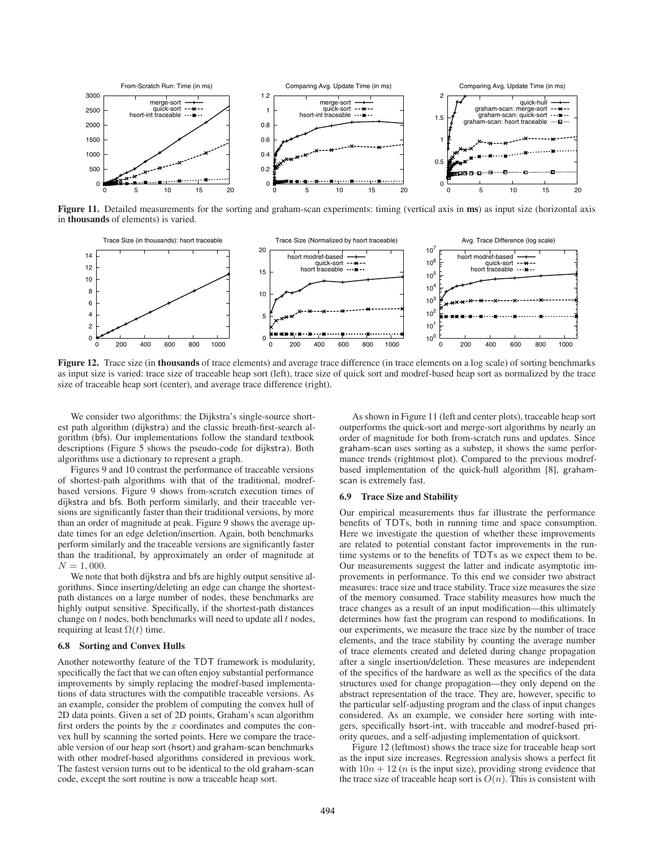

**Figure 11.** Detailed measurements for the sorting and graham-scan experiments: timing (vertical axis in **ms**) as input size (horizontal axis in **thousands** of elements) is varied.



**Figure 12.** Trace size (in **thousands** of trace elements) and average trace difference (in trace elements on a log scale) of sorting benchmarks as input size is varied: trace size of traceable heap sort (left), trace size of quick sort and modref-based heap sort as normalized by the trace size of traceable heap sort (center), and average trace difference (right).

We consider two algorithms: the Dijkstra's single-source shortest path algorithm (dijkstra) and the classic breath-first-search algorithm (bfs). Our implementations follow the standard textbook descriptions (Figure 5 shows the pseudo-code for dijkstra). Both algorithms use a dictionary to represent a graph.

Figures 9 and 10 contrast the performance of traceable versions of shortest-path algorithms with that of the traditional, modrefbased versions. Figure 9 shows from-scratch execution times of dijkstra and bfs. Both perform similarly, and their traceable versions are significantly faster than their traditional versions, by more than an order of magnitude at peak. Figure 9 shows the average update times for an edge deletion/insertion. Again, both benchmarks perform similarly and the traceable versions are significantly faster than the traditional, by approximately an order of magnitude at  $N = 1,000.$ 

We note that both dijkstra and bfs are highly output sensitive algorithms. Since inserting/deleting an edge can change the shortestpath distances on a large number of nodes, these benchmarks are highly output sensitive. Specifically, if the shortest-path distances change on  $t$  nodes, both benchmarks will need to update all  $t$  nodes, requiring at least  $\Omega(t)$  time.

## **6.8 Sorting and Convex Hulls**

Another noteworthy feature of the TDT framework is modularity, specifically the fact that we can often enjoy substantial performance improvements by simply replacing the modref-based implementations of data structures with the compatible traceable versions. As an example, consider the problem of computing the convex hull of 2D data points. Given a set of 2D points, Graham's scan algorithm first orders the points by the  $x$  coordinates and computes the convex hull by scanning the sorted points. Here we compare the traceable version of our heap sort (hsort) and graham-scan benchmarks with other modref-based algorithms considered in previous work. The fastest version turns out to be identical to the old graham-scan code, except the sort routine is now a traceable heap sort.

As shown in Figure 11 (left and center plots), traceable heap sort outperforms the quick-sort and merge-sort algorithms by nearly an order of magnitude for both from-scratch runs and updates. Since graham-scan uses sorting as a substep, it shows the same performance trends (rightmost plot). Compared to the previous modrefbased implementation of the quick-hull algorithm [8], grahamscan is extremely fast.

### **6.9 Trace Size and Stability**

Our empirical measurements thus far illustrate the performance benefits of TDTs, both in running time and space consumption. Here we investigate the question of whether these improvements are related to potential constant factor improvements in the runtime systems or to the benefits of TDTs as we expect them to be. Our measurements suggest the latter and indicate asymptotic improvements in performance. To this end we consider two abstract measures: trace size and trace stability. Trace size measures the size of the memory consumed. Trace stability measures how much the trace changes as a result of an input modification—this ultimately determines how fast the program can respond to modifications. In our experiments, we measure the trace size by the number of trace elements, and the trace stability by counting the average number of trace elements created and deleted during change propagation after a single insertion/deletion. These measures are independent of the specifics of the hardware as well as the specifics of the data structures used for change propagation—they only depend on the abstract representation of the trace. They are, however, specific to the particular self-adjusting program and the class of input changes considered. As an example, we consider here sorting with integers, specifically hsort-int, with traceable and modref-based priority queues, and a self-adjusting implementation of quicksort.

Figure 12 (leftmost) shows the trace size for traceable heap sort as the input size increases. Regression analysis shows a perfect fit with  $10n + 12$  (*n* is the input size), providing strong evidence that the trace size of traceable heap sort is  $O(n)$ . This is consistent with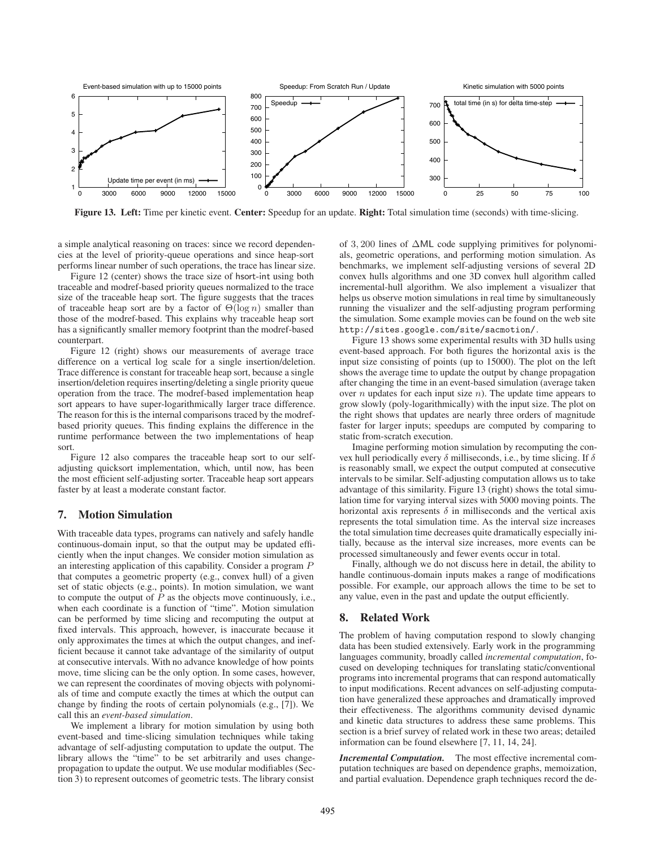

**Figure 13. Left:** Time per kinetic event. **Center:** Speedup for an update. **Right:** Total simulation time (seconds) with time-slicing.

a simple analytical reasoning on traces: since we record dependencies at the level of priority-queue operations and since heap-sort performs linear number of such operations, the trace has linear size.

Figure 12 (center) shows the trace size of hsort-int using both traceable and modref-based priority queues normalized to the trace size of the traceable heap sort. The figure suggests that the traces of traceable heap sort are by a factor of  $\Theta(\log n)$  smaller than those of the modref-based. This explains why traceable heap sort has a significantly smaller memory footprint than the modref-based counterpart.

Figure 12 (right) shows our measurements of average trace difference on a vertical log scale for a single insertion/deletion. Trace difference is constant for traceable heap sort, because a single insertion/deletion requires inserting/deleting a single priority queue operation from the trace. The modref-based implementation heap sort appears to have super-logarithmically larger trace difference. The reason for this is the internal comparisons traced by the modrefbased priority queues. This finding explains the difference in the runtime performance between the two implementations of heap sort.

Figure 12 also compares the traceable heap sort to our selfadjusting quicksort implementation, which, until now, has been the most efficient self-adjusting sorter. Traceable heap sort appears faster by at least a moderate constant factor.

# **7. Motion Simulation**

With traceable data types, programs can natively and safely handle continuous-domain input, so that the output may be updated efficiently when the input changes. We consider motion simulation as an interesting application of this capability. Consider a program P that computes a geometric property (e.g., convex hull) of a given set of static objects (e.g., points). In motion simulation, we want to compute the output of  $\overline{P}$  as the objects move continuously, i.e., when each coordinate is a function of "time". Motion simulation can be performed by time slicing and recomputing the output at fixed intervals. This approach, however, is inaccurate because it only approximates the times at which the output changes, and inefficient because it cannot take advantage of the similarity of output at consecutive intervals. With no advance knowledge of how points move, time slicing can be the only option. In some cases, however, we can represent the coordinates of moving objects with polynomials of time and compute exactly the times at which the output can change by finding the roots of certain polynomials (e.g., [7]). We call this an *event-based simulation*.

We implement a library for motion simulation by using both event-based and time-slicing simulation techniques while taking advantage of self-adjusting computation to update the output. The library allows the "time" to be set arbitrarily and uses changepropagation to update the output. We use modular modifiables (Section 3) to represent outcomes of geometric tests. The library consist of 3, 200 lines of ΔML code supplying primitives for polynomials, geometric operations, and performing motion simulation. As benchmarks, we implement self-adjusting versions of several 2D convex hulls algorithms and one 3D convex hull algorithm called incremental-hull algorithm. We also implement a visualizer that helps us observe motion simulations in real time by simultaneously running the visualizer and the self-adjusting program performing the simulation. Some example movies can be found on the web site http://sites.google.com/site/sacmotion/.

Figure 13 shows some experimental results with 3D hulls using event-based approach. For both figures the horizontal axis is the input size consisting of points (up to 15000). The plot on the left shows the average time to update the output by change propagation after changing the time in an event-based simulation (average taken over *n* updates for each input size  $n$ ). The update time appears to grow slowly (poly-logarithmically) with the input size. The plot on the right shows that updates are nearly three orders of magnitude faster for larger inputs; speedups are computed by comparing to static from-scratch execution.

Imagine performing motion simulation by recomputing the convex hull periodically every  $\delta$  milliseconds, i.e., by time slicing. If  $\delta$ is reasonably small, we expect the output computed at consecutive intervals to be similar. Self-adjusting computation allows us to take advantage of this similarity. Figure 13 (right) shows the total simulation time for varying interval sizes with 5000 moving points. The horizontal axis represents  $\delta$  in milliseconds and the vertical axis represents the total simulation time. As the interval size increases the total simulation time decreases quite dramatically especially initially, because as the interval size increases, more events can be processed simultaneously and fewer events occur in total.

Finally, although we do not discuss here in detail, the ability to handle continuous-domain inputs makes a range of modifications possible. For example, our approach allows the time to be set to any value, even in the past and update the output efficiently.

# **8. Related Work**

The problem of having computation respond to slowly changing data has been studied extensively. Early work in the programming languages community, broadly called *incremental computation*, focused on developing techniques for translating static/conventional programs into incremental programs that can respond automatically to input modifications. Recent advances on self-adjusting computation have generalized these approaches and dramatically improved their effectiveness. The algorithms community devised dynamic and kinetic data structures to address these same problems. This section is a brief survey of related work in these two areas; detailed information can be found elsewhere [7, 11, 14, 24].

*Incremental Computation.* The most effective incremental computation techniques are based on dependence graphs, memoization, and partial evaluation. Dependence graph techniques record the de